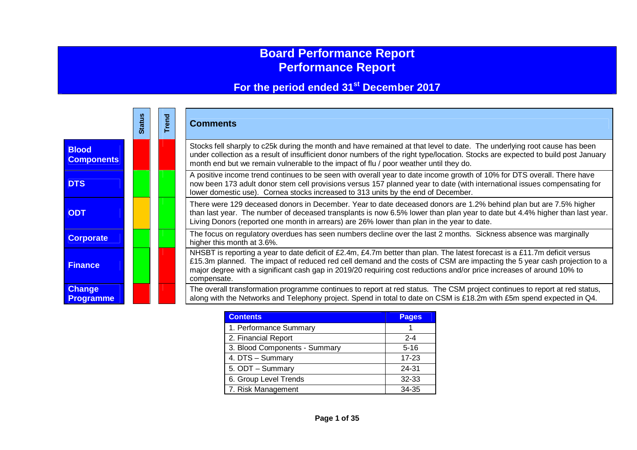# **Board Performance Report Performance Report**

# **For the period ended 31st December 2017**

|                                   | <b>Stat</b> |  | <b>Comments</b>                                                                                                                                                                                                                                                                                                                                                                                |
|-----------------------------------|-------------|--|------------------------------------------------------------------------------------------------------------------------------------------------------------------------------------------------------------------------------------------------------------------------------------------------------------------------------------------------------------------------------------------------|
| <b>Blood</b><br><b>Components</b> |             |  | Stocks fell sharply to c25k during the month and have remained at that level to date. The underlying root cause has been<br>under collection as a result of insufficient donor numbers of the right type/location. Stocks are expected to build post January<br>month end but we remain vulnerable to the impact of flu / poor weather until they do.                                          |
| <b>DTS</b>                        |             |  | A positive income trend continues to be seen with overall year to date income growth of 10% for DTS overall. There have<br>now been 173 adult donor stem cell provisions versus 157 planned year to date (with international issues compensating for<br>lower domestic use). Cornea stocks increased to 313 units by the end of December.                                                      |
| <b>ODT</b>                        |             |  | There were 129 deceased donors in December. Year to date deceased donors are 1.2% behind plan but are 7.5% higher<br>than last year. The number of deceased transplants is now 6.5% lower than plan year to date but 4.4% higher than last year.<br>Living Donors (reported one month in arrears) are 26% lower than plan in the year to date.                                                 |
| <b>Corporate</b>                  |             |  | The focus on regulatory overdues has seen numbers decline over the last 2 months. Sickness absence was marginally<br>higher this month at 3.6%.                                                                                                                                                                                                                                                |
| <b>Finance</b>                    |             |  | NHSBT is reporting a year to date deficit of £2.4m, £4.7m better than plan. The latest forecast is a £11.7m deficit versus<br>£15.3m planned. The impact of reduced red cell demand and the costs of CSM are impacting the 5 year cash projection to a<br>major degree with a significant cash gap in 2019/20 requiring cost reductions and/or price increases of around 10% to<br>compensate. |
| <b>Change</b><br><b>Programme</b> |             |  | The overall transformation programme continues to report at red status. The CSM project continues to report at red status,<br>along with the Networks and Telephony project. Spend in total to date on CSM is £18.2m with £5m spend expected in Q4.                                                                                                                                            |

| <b>Contents</b>               | Pages     |
|-------------------------------|-----------|
| 1. Performance Summary        |           |
| 2. Financial Report           | $2 - 4$   |
| 3. Blood Components - Summary | $5 - 16$  |
| 4. DTS - Summary              | $17 - 23$ |
| 5. ODT - Summary              | 24-31     |
| 6. Group Level Trends         | 32-33     |
| 7. Risk Management            | 34-35     |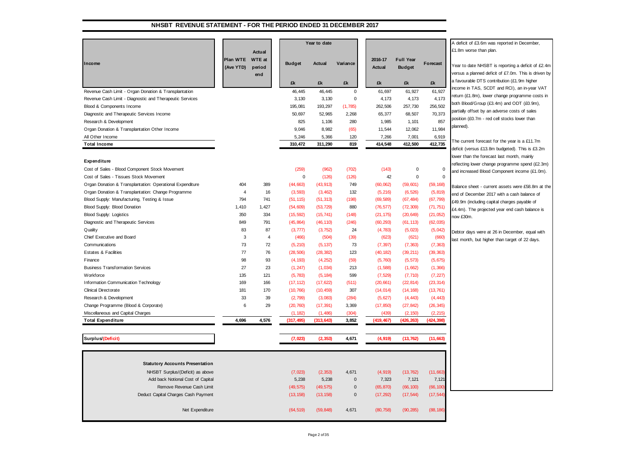### **NHSBT REVENUE STATEMENT - FOR THE PERIOD ENDED 31 DECEMBER 2017**

|                                                           |                |                |               | Year to date |             |            |                  |             | A deficit of £3.6m was reported in December,         |
|-----------------------------------------------------------|----------------|----------------|---------------|--------------|-------------|------------|------------------|-------------|------------------------------------------------------|
|                                                           |                | Actual         |               |              |             |            |                  |             | £1.8m worse than plan.                               |
|                                                           | Plan WTE       | <b>WTE</b> at  |               |              |             | 2016-17    | <b>Full Year</b> |             |                                                      |
| Income                                                    | (Ave YTD)      | period         | <b>Budget</b> | Actual       | Variance    | Actual     | <b>Budget</b>    | Forecast    | Year to date NHSBT is reporting a deficit of £2.4m   |
|                                                           |                | end            |               |              |             |            |                  |             | versus a planned deficit of £7.0m. This is driven by |
|                                                           |                |                | £k            | £k           | £k          | £k         | £k               | £k          | a favourable DTS contribution (£1.9m higher          |
|                                                           |                |                |               |              |             |            |                  |             | income in TAS, SCDT and RCI), an in-year VAT         |
| Revenue Cash Limit - Organ Donation & Transplantation     |                |                | 46,445        | 46,445       | $\mathbf 0$ | 61,697     | 61,927           | 61,927      | return (£1.8m), lower change programme costs in      |
| Revenue Cash Limit - Diagnostic and Therapeutic Services  |                |                | 3,130         | 3,130        | 0           | 4,173      | 4,173            | 4,173       | both Blood/Group (£3.4m) and ODT (£0.9m),            |
| Blood & Components Income                                 |                |                | 195,081       | 193,297      | (1,785)     | 262,506    | 257,730          | 256,502     | partially offset by an adverse costs of sales        |
| Diagnostic and Therapeutic Services Income                |                |                | 50,697        | 52,965       | 2,268       | 65,377     | 68,507           | 70,373      | position (£0.7m - red cell stocks lower than         |
| Research & Development                                    |                |                | 825           | 1,106        | 280         | 1,985      | 1,101            | 857         | planned).                                            |
| Organ Donation & Transplantation Other Income             |                |                | 9,046         | 8,982        | (65)        | 11,544     | 12,062           | 11,984      |                                                      |
| All Other Income                                          |                |                | 5,246         | 5,366        | 120         | 7,266      | 7,001            | 6,919       | The current forecast for the year is a £11.7m        |
| <b>Total Income</b>                                       |                |                | 310,472       | 311,290      | 819         | 414,548    | 412,500          | 412,735     | deficit (versus £13.8m budgeted). This is £3.2m      |
|                                                           |                |                |               |              |             |            |                  |             | lower than the forecast last month, mainly           |
| Expenditure                                               |                |                |               |              |             |            |                  |             | reflecting lower change programme spend (£2.3m)      |
| Cost of Sales - Blood Component Stock Movement            |                |                | (259)         | (962)        | (702)       | (143)      | $\Omega$         | $\pmb{0}$   | and increased Blood Component income (£1.0m).        |
| Cost of Sales - Tissues Stock Movement                    |                |                | $\mathbf 0$   | (126)        | (126)       | 42         | $\Omega$         | $\mathbf 0$ |                                                      |
| Organ Donation & Transplantation: Operational Expenditure | 404            | 389            | (44, 663)     | (43, 913)    | 749         | (60, 062)  | (59, 601)        | (59, 168)   | Balance sheet - current assets were £58.8m at the    |
| Organ Donation & Transplantation: Change Programme        | $\overline{4}$ | 16             | (3, 593)      | (3, 462)     | 132         | (5, 216)   | (6, 526)         | (5, 819)    | end of December 2017 with a cash balance of          |
| Blood Supply: Manufacturing, Testing & Issue              | 794            | 741            | (51, 115)     | (51, 313)    | (198)       | (69, 589)  | (67, 484)        | (67, 799)   | £49.9m (including capital charges payable of         |
| Blood Supply: Blood Donation                              | 1,410          | 1,427          | (54, 609)     | (53, 729)    | 880         | (76, 577)  | (72, 309)        | (71, 751)   | £4.4m). The projected year end cash balance is       |
| <b>Blood Supply: Logistics</b>                            | 350            | 334            | (15, 592)     | (15, 741)    | (148)       | (21, 175)  | (20, 649)        | (21, 052)   | now £30m.                                            |
| Diagnostic and Therapeutic Services                       | 849            | 791            | (45, 864)     | (46, 110)    | (246)       | (60, 293)  | (61, 113)        | (62, 035)   |                                                      |
| Quality                                                   | 83             | 87             | (3, 777)      | (3, 752)     | 24          | (4,783)    | (5,023)          | (5,042)     | Debtor days were at 26 in December, equal with       |
| Chief Executive and Board                                 | 3              | $\overline{4}$ | (466)         | (504)        | (39)        | (623)      | (621)            | (660)       | last month, but higher than target of 22 days.       |
| Communications                                            | 73             | 72             | (5, 210)      | (5, 137)     | 73          | (7, 397)   | (7, 363)         | (7, 363)    |                                                      |
| <b>Estates &amp; Facilities</b>                           | 77             | 76             | (28, 506)     | (28, 382)    | 123         | (40, 182)  | (39, 211)        | (39, 363)   |                                                      |
| Finance                                                   | 98             | 93             | (4, 193)      | (4, 252)     | (59)        | (5,760)    | (5, 573)         | (5, 675)    |                                                      |
| <b>Business Transformation Services</b>                   | 27             | 23             | (1, 247)      | (1,034)      | 213         | (1,588)    | (1,662)          | (1, 366)    |                                                      |
| Workforce                                                 | 135            | 121            | (5, 783)      | (5, 184)     | 599         | (7, 529)   | (7, 710)         | (7, 227)    |                                                      |
| Information Communication Technology                      | 169            | 166            | (17, 112)     | (17, 622)    | (511)       | (20, 661)  | (22, 814)        | (23, 314)   |                                                      |
| <b>Clinical Directorate</b>                               | 181            | 170            | (10, 766)     | (10, 459)    | 307         | (14, 014)  | (14, 168)        | (13, 761)   |                                                      |
| Research & Development                                    | 33             | 39             | (2,799)       | (3,083)      | (284)       | (5,627)    | (4, 443)         | (4, 443)    |                                                      |
| Change Programme (Blood & Corporate)                      | 6              | 29             | (20, 760)     | (17, 391)    | 3,369       | (17, 850)  | (27, 842)        | (26, 345)   |                                                      |
| Miscellaneous and Capital Charges                         |                |                | (1, 182)      | (1,486)      | (304)       | (439)      | (2, 150)         | (2, 215)    |                                                      |
| <b>Total Expenditure</b>                                  | 4.696          | 4,576          | (317, 495)    | (313, 643)   | 3,852       | (419, 467) | (426, 263)       | (424.398)   |                                                      |
|                                                           |                |                |               |              |             |            |                  |             |                                                      |
| Surplus/(Deficit)                                         |                |                | (7, 023)      | (2, 353)     | 4,671       | (4, 919)   | (13, 762)        | (11, 663)   |                                                      |
|                                                           |                |                |               |              |             |            |                  |             |                                                      |
| <b>Statutory Accounts Presentation</b>                    |                |                |               |              |             |            |                  |             |                                                      |
| NHSBT Surplus/(Deficit) as above                          |                |                | (7,023)       | (2, 353)     | 4,671       | (4, 919)   | (13, 762)        | (11, 663)   |                                                      |
| Add back Notional Cost of Capital                         |                |                | 5,238         | 5,238        | 0           | 7,323      | 7,121            | 7,12'       |                                                      |
| Remove Revenue Cash Limit                                 |                |                | (49, 575)     | (49, 575)    | 0           | (65, 870)  | (66, 100)        | (66, 100)   |                                                      |
| Deduct Capital Charges Cash Payment                       |                |                | (13, 158)     | (13, 158)    | $\mathbf 0$ | (17, 292)  | (17, 544)        | (17, 544)   |                                                      |
| Net Expenditure                                           |                |                | (64, 519)     | (59, 848)    | 4,671       | (80, 758)  | (90, 285)        | (88, 186)   |                                                      |
|                                                           |                |                |               |              |             |            |                  |             |                                                      |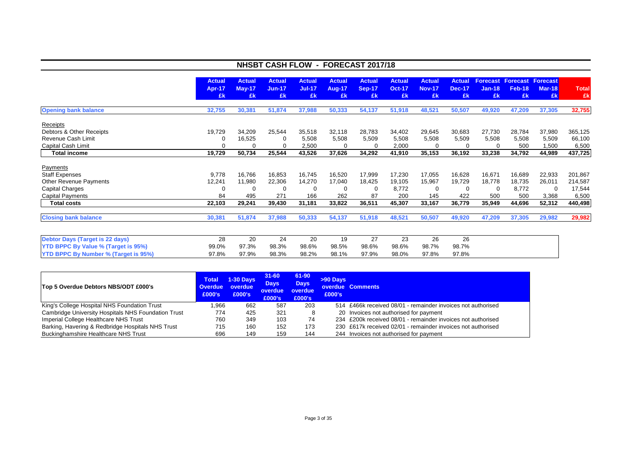|                                                                           | NHSBT CASH FLOW - FORECAST 2017/18   |                                      |                                 |                                      |                                      |                                      |                                      |                                      |                               |                       |                           |                                                          |                              |
|---------------------------------------------------------------------------|--------------------------------------|--------------------------------------|---------------------------------|--------------------------------------|--------------------------------------|--------------------------------------|--------------------------------------|--------------------------------------|-------------------------------|-----------------------|---------------------------|----------------------------------------------------------|------------------------------|
|                                                                           | <b>Actual</b><br><b>Apr-17</b><br>£k | <b>Actual</b><br><b>May-17</b><br>£k | <b>Actual</b><br>$Jun-17$<br>£k | <b>Actual</b><br><b>Jul-17</b><br>£k | <b>Actual</b><br><b>Aug-17</b><br>£k | <b>Actual</b><br><b>Sep-17</b><br>£k | <b>Actual</b><br><b>Oct-17</b><br>£k | <b>Actual</b><br><b>Nov-17</b><br>£k | Actual<br><b>Dec-17</b><br>£k | $Jan-18$<br>£k        | <b>Feb-18</b><br>£k       | <b>Forecast Forecast Forecast</b><br><b>Mar-18</b><br>£k | <b>Total</b><br>£k           |
| <b>Opening bank balance</b>                                               | 32,755                               | 30,381                               | 51,874                          | 37,988                               | 50,333                               | 54,137                               | 51,918                               | 48,521                               | 50,507                        | 49,920                | 47,209                    | 37,305                                                   | 32,755                       |
| Receipts<br>Debtors & Other Receipts                                      | 19,729                               | 34,209                               | 25,544                          | 35,518                               | 32,118                               | 28,783                               | 34,402                               | 29,645                               | 30,683                        | 27,730                | 28,784                    | 37,980                                                   | 365,125                      |
| Revenue Cash Limit<br>Capital Cash Limit                                  |                                      | 16,525                               | $\Omega$<br>$\Omega$            | 5,508<br>2,500                       | 5,508<br>$\Omega$                    | 5,509<br>0                           | 5,508<br>2,000                       | 5,508                                | 5,509                         | 5,508                 | 5,508<br>500              | 5,509<br>1,500                                           | 66,100<br>6,500              |
| <b>Total income</b>                                                       | 19,729                               | 50,734                               | 25,544                          | 43,526                               | 37,626                               | 34,292                               | 41,910                               | 35,153                               | 36,192                        | 33,238                | 34,792                    | 44,989                                                   | 437,725                      |
| Payments                                                                  |                                      |                                      |                                 |                                      |                                      |                                      |                                      |                                      |                               |                       |                           |                                                          |                              |
| <b>Staff Expenses</b><br>Other Revenue Payments<br><b>Capital Charges</b> | 9,778<br>12,241<br>$\Omega$          | 16,766<br>11,980<br>O                | 16,853<br>22,306<br>$\Omega$    | 16,745<br>14,270<br>$\Omega$         | 16,520<br>17,040<br>$\Omega$         | 17,999<br>18,425<br>$\Omega$         | 17,230<br>19,105<br>8,772            | 17,055<br>15,967<br>0                | 16,628<br>19,729              | 16,671<br>18,778<br>0 | 16,689<br>18,735<br>8,772 | 22,933<br>26,011<br>0                                    | 201,867<br>214,587<br>17,544 |
| <b>Capital Payments</b>                                                   | 84                                   | 495                                  | 271                             | 166                                  | 262                                  | 87                                   | 200                                  | 145                                  | 422                           | 500                   | 500                       | 3,368                                                    | 6,500                        |
| <b>Total costs</b>                                                        | 22,103                               | 29,241                               | 39,430                          | 31,181                               | 33,822                               | 36,511                               | 45,307                               | 33,167                               | 36,779                        | 35,949                | 44,696                    | 52,312                                                   | 440,498                      |
| <b>Closing bank balance</b>                                               | 30,381                               | 51,874                               | 37,988                          | 50,333                               | 54,137                               | 51,918                               | 48,521                               | 50,507                               | 49,920                        | 47,209                | 37,305                    | 29,982                                                   | 29,982                       |
| <b>Debtor Days (Target is 22 days)</b>                                    | 28                                   | 20                                   | 24                              | 20                                   | 19                                   | 27                                   | 23                                   | 26                                   | 26                            |                       |                           |                                                          |                              |
| <b>YTD BPPC By Value % (Target is 95%)</b>                                | 99.0%                                | 97.3%                                | 98.3%                           | 98.6%                                | 98.5%                                | 98.6%                                | 98.6%                                | 98.7%                                | 98.7%                         |                       |                           |                                                          |                              |
| <b>YTD BPPC By Number % (Target is 95%)</b>                               | 97.8%                                | 97.9%                                | 98.3%                           | 98.2%                                | 98.1%                                | 97.9%                                | 98.0%                                | 97.8%                                | 97.8%                         |                       |                           |                                                          |                              |

| Top 5 Overdue Debtors NBS/ODT £000's                       | <b>Total</b><br>Overdue<br>£000's | <b>1-30 Days</b><br>overdue<br>£000's | $31 - 60$<br><b>Days</b><br>overdue<br>£000's | 61-90<br><b>Days</b><br>overdue<br>£000's | >90 Days<br>£000's | overdue Comments                                             |
|------------------------------------------------------------|-----------------------------------|---------------------------------------|-----------------------------------------------|-------------------------------------------|--------------------|--------------------------------------------------------------|
| King's College Hospital NHS Foundation Trust               | .966                              | 662                                   | 587                                           | 203                                       |                    | 514 £466k received 08/01 - remainder invoices not authorised |
| <b>Cambridge University Hospitals NHS Foundation Trust</b> | 774                               | 425                                   | 321                                           | 8                                         |                    | 20 Invoices not authorised for payment                       |
| Imperial College Healthcare NHS Trust                      | 760                               | 349                                   | 103                                           | 74                                        |                    | 234 £200k received 08/01 - remainder invoices not authorised |
| Barking, Havering & Redbridge Hospitals NHS Trust          | 715                               | 160                                   | 152                                           | 173                                       |                    | 230 £617k received 02/01 - remainder invoices not authorised |
| <b>Buckinghamshire Healthcare NHS Trust</b>                | 696                               | 149                                   | 159                                           | 144                                       |                    | 244 Invoices not authorised for payment                      |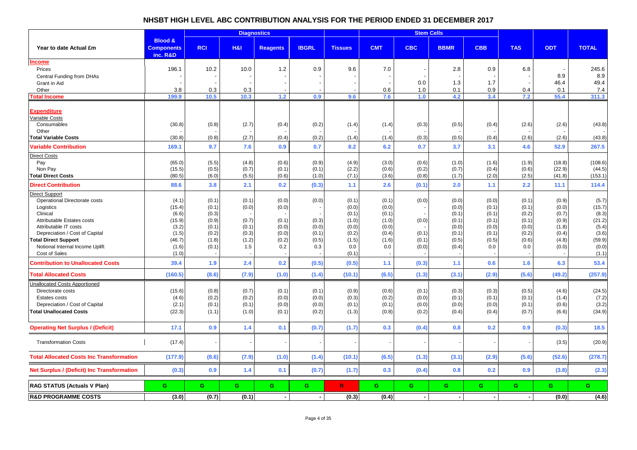# **NHSBT HIGH LEVEL ABC CONTRIBUTION ANALYSIS FOR THE PERIOD ENDED 31 DECEMBER 2017**

|                                                                                                                                                                   |                                                      |                                                    | <b>Diagnostics</b>                        |                                           |                                  |                                                    | <b>Stem Cells</b>                                  |                                  |                                                    |                                                    |                                                    |                                                    |                                                      |
|-------------------------------------------------------------------------------------------------------------------------------------------------------------------|------------------------------------------------------|----------------------------------------------------|-------------------------------------------|-------------------------------------------|----------------------------------|----------------------------------------------------|----------------------------------------------------|----------------------------------|----------------------------------------------------|----------------------------------------------------|----------------------------------------------------|----------------------------------------------------|------------------------------------------------------|
| Year to date Actual £m                                                                                                                                            | <b>Blood &amp;</b><br><b>Components</b><br>inc. R&D  | <b>RCI</b>                                         | H8I                                       | <b>Reagents</b>                           | <b>IBGRL</b>                     | <b>Tissues</b>                                     | <b>CMT</b>                                         | <b>CBC</b>                       | <b>BBMR</b>                                        | <b>CBB</b>                                         | <b>TAS</b>                                         | <b>ODT</b>                                         | <b>TOTAL</b>                                         |
| ncome<br>Prices                                                                                                                                                   | 196.1                                                | 10.2                                               | 10.0                                      | 1.2                                       | 0.9                              | 9.6                                                | 7.0                                                |                                  | 2.8                                                | 0.9                                                | 6.8                                                |                                                    | 245.6                                                |
| Central Funding from DHAs<br>Grant in Aid<br>Other                                                                                                                | 3.8                                                  | 0.3                                                | 0.3                                       |                                           |                                  |                                                    | 0.6                                                | 0.0<br>1.0                       | 1.3<br>0.1                                         | 1.7<br>0.9                                         | $\overline{\phantom{a}}$<br>0.4                    | 8.9<br>46.4<br>0.1                                 | 8.9<br>49.4<br>7.4                                   |
| <b>Total Income</b>                                                                                                                                               | 199.9                                                | 10.5                                               | 10.3                                      | 1.2                                       | 0.9                              | 9.6                                                | 7.6                                                | 1.0                              | 4.2                                                | 3.4                                                | 7.2                                                | 55.4                                               | 311.3                                                |
| Expenditure<br><b>/ariable Costs</b><br>Consumables                                                                                                               | (30.8)                                               | (0.8)                                              | (2.7)                                     | (0.4)                                     | (0.2)                            | (1.4)                                              | (1.4)                                              | (0.3)                            | (0.5)                                              | (0.4)                                              | (2.6)                                              | (2.6)                                              | (43.8)                                               |
| Other<br><b>Total Variable Costs</b>                                                                                                                              | (30.8)                                               | (0.8)                                              | (2.7)                                     | (0.4)                                     | (0.2)                            | (1.4)                                              | (1.4)                                              | (0.3)                            | (0.5)                                              | (0.4)                                              | (2.6)                                              | (2.6)                                              | (43.8)                                               |
| <b>Variable Contribution</b>                                                                                                                                      | 169.1                                                | 9.7                                                | 7.6                                       | 0.9                                       | 0.7                              | 8.2                                                | 6.2                                                | 0.7                              | 3.7                                                | 3.1                                                | 4.6                                                | 52.9                                               | 267.5                                                |
| Direct Costs<br>Pay<br>Non Pay<br><b>Total Direct Costs</b>                                                                                                       | (65.0)<br>(15.5)<br>(80.5)                           | (5.5)<br>(0.5)<br>(6.0)                            | (4.8)<br>(0.7)<br>(5.5)                   | (0.6)<br>(0.1)<br>(0.6)                   | (0.9)<br>(0.1)<br>(1.0)          | (4.9)<br>(2.2)<br>(7.1)                            | (3.0)<br>(0.6)<br>(3.6)                            | (0.6)<br>(0.2)<br>(0.8)          | (1.0)<br>(0.7)<br>(1.7)                            | (1.6)<br>(0.4)<br>(2.0)                            | (1.9)<br>(0.6)<br>(2.5)                            | (18.8)<br>(22.9)<br>(41.8)                         | (108.6)<br>(44.5)<br>(153.1)                         |
| <b>Direct Contribution</b>                                                                                                                                        | 88.6                                                 | 3.8                                                | 2.1                                       | 0.2                                       | (0.3)                            | 1.1                                                | 2.6                                                | (0.1)                            | 2.0                                                | 1.1                                                | $2.2$                                              | 11.1                                               | 114.4                                                |
| Direct Support<br>Operational Directorate costs<br>Logistics<br>Clinical<br>Attributable Estates costs<br>Attributable IT costs<br>Depreciation / Cost of Capital | (4.1)<br>(15.4)<br>(6.6)<br>(15.9)<br>(3.2)<br>(1.5) | (0.1)<br>(0.1)<br>(0.3)<br>(0.9)<br>(0.1)<br>(0.2) | (0.1)<br>(0.0)<br>(0.7)<br>(0.1)<br>(0.3) | (0.0)<br>(0.0)<br>(0.1)<br>(0.0)<br>(0.0) | (0.0)<br>(0.3)<br>(0.0)<br>(0.1) | (0.1)<br>(0.0)<br>(0.1)<br>(1.0)<br>(0.0)<br>(0.2) | (0.1)<br>(0.0)<br>(0.1)<br>(1.0)<br>(0.0)<br>(0.4) | (0.0)<br>(0.0)<br>(0.1)          | (0.0)<br>(0.0)<br>(0.1)<br>(0.1)<br>(0.0)<br>(0.1) | (0.0)<br>(0.1)<br>(0.1)<br>(0.1)<br>(0.0)<br>(0.1) | (0.1)<br>(0.1)<br>(0.2)<br>(0.1)<br>(0.0)<br>(0.2) | (0.9)<br>(0.0)<br>(0.7)<br>(0.9)<br>(1.8)<br>(0.4) | (5.7)<br>(15.7)<br>(8.3)<br>(21.2)<br>(5.4)<br>(3.6) |
| <b>Total Direct Support</b><br>Notional Internal Income Uplift<br>Cost of Sales                                                                                   | (46.7)<br>(1.6)<br>(1.0)                             | (1.8)<br>(0.1)                                     | (1.2)<br>1.5                              | (0.2)<br>0.2                              | (0.5)<br>0.3                     | (1.5)<br>0.0<br>(0.1)                              | (1.6)<br>0.0                                       | (0.1)<br>(0.0)                   | (0.5)<br>(0.4)                                     | (0.5)<br>0.0                                       | (0.6)<br>0.0                                       | (4.8)<br>(0.0)                                     | (59.9)<br>(0.0)<br>(1.1)                             |
| <b>Contribution to Unallocated Costs</b>                                                                                                                          | 39.4                                                 | 1.9                                                | 2.4                                       | 0.2                                       | (0.5)                            | (0.5)                                              | 1.1                                                | (0.3)                            | $1.1$                                              | 0.6                                                | 1.6                                                | 6.3                                                | 53.4                                                 |
| <b>Total Allocated Costs</b>                                                                                                                                      | (160.5)                                              | (8.6)                                              | (7.9)                                     | (1.0)                                     | (1.4)                            | (10.1)                                             | (6.5)                                              | (1.3)                            | (3.1)                                              | (2.9)                                              | (5.6)                                              | (49.2)                                             | (257.9)                                              |
| <b>Jnallocated Costs Apportioned</b><br>Directorate costs<br>Estates costs<br>Depreciation / Cost of Capital<br><b>Total Unallocated Costs</b>                    | (15.6)<br>(4.6)<br>(2.1)<br>(22.3)                   | (0.8)<br>(0.2)<br>(0.1)<br>(1.1)                   | (0.7)<br>(0.2)<br>(0.1)<br>(1.0)          | (0.1)<br>(0.0)<br>(0.0)<br>(0.1)          | (0.1)<br>(0.0)<br>(0.0)<br>(0.2) | (0.9)<br>(0.3)<br>(0.1)<br>(1.3)                   | (0.6)<br>(0.2)<br>(0.1)<br>(0.8)                   | (0.1)<br>(0.0)<br>(0.0)<br>(0.2) | (0.3)<br>(0.1)<br>(0.0)<br>(0.4)                   | (0.3)<br>(0.1)<br>(0.0)<br>(0.4)                   | (0.5)<br>(0.1)<br>(0.1)<br>(0.7)                   | (4.6)<br>(1.4)<br>(0.6)<br>(6.6)                   | (24.5)<br>(7.2)<br>(3.2)<br>(34.9)                   |
| <b>Operating Net Surplus / (Deficit)</b>                                                                                                                          | 17.1                                                 | 0.9                                                | 1.4                                       | 0.1                                       | (0.7)                            | (1.7)                                              | 0.3                                                | (0.4)                            | 0.8                                                | 0.2                                                | 0.9                                                | (0.3)                                              | 18.5                                                 |
| <b>Transformation Costs</b>                                                                                                                                       | (17.4)                                               |                                                    |                                           |                                           |                                  |                                                    |                                                    |                                  |                                                    |                                                    |                                                    | (3.5)                                              | (20.9)                                               |
| <b>Total Allocated Costs Inc Transformation</b>                                                                                                                   | (177.9)                                              | (8.6)                                              | (7.9)                                     | (1.0)                                     | (1.4)                            | (10.1)                                             | (6.5)                                              | (1.3)                            | (3.1)                                              | (2.9)                                              | (5.6)                                              | (52.6)                                             | (278.7)                                              |
| Net Surplus / (Deficit) Inc Transformation                                                                                                                        | (0.3)                                                | 0.9                                                | 1.4                                       | 0.1                                       | (0.7)                            | (1.7)                                              | 0.3                                                | (0.4)                            | 0.8                                                | 0.2                                                | 0.9                                                | (3.8)                                              | (2.3)                                                |
| <b>RAG STATUS (Actuals V Plan)</b>                                                                                                                                | G                                                    | G                                                  | G                                         | G.                                        | G.                               | $\mathbb{R}$                                       | G                                                  | G.                               | G.                                                 | G.                                                 | G.                                                 | G                                                  | G.                                                   |
| <b>R&amp;D PROGRAMME COSTS</b>                                                                                                                                    | (3.0)                                                | (0.7)                                              | (0.1)                                     | $\blacksquare$                            | $\overline{\phantom{a}}$         | (0.3)                                              | (0.4)                                              | $\blacksquare$                   | $\blacksquare$                                     | $\sim$                                             | $\sim$                                             | (0.0)                                              | (4.6)                                                |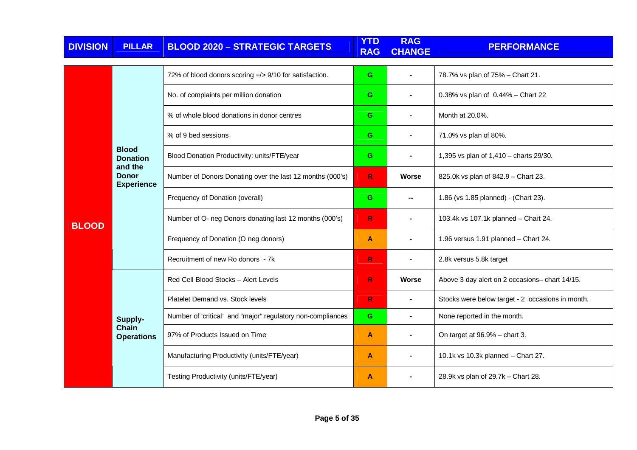| <b>DIVISION</b> | <b>PILLAR</b>                                | <b>BLOOD 2020 - STRATEGIC TARGETS</b>                       | <b>YTD</b><br><b>RAG</b> | <b>RAG</b><br><b>CHANGE</b> | <b>PERFORMANCE</b>                               |
|-----------------|----------------------------------------------|-------------------------------------------------------------|--------------------------|-----------------------------|--------------------------------------------------|
|                 |                                              | 72% of blood donors scoring =/> 9/10 for satisfaction.      | G                        | $\blacksquare$              | 78.7% vs plan of 75% - Chart 21.                 |
|                 |                                              | No. of complaints per million donation                      | G                        | $\blacksquare$              | 0.38% vs plan of 0.44% - Chart 22                |
|                 |                                              | % of whole blood donations in donor centres                 | G                        |                             | Month at 20.0%.                                  |
|                 |                                              | % of 9 bed sessions                                         | G                        |                             | 71.0% vs plan of 80%.                            |
|                 | <b>Blood</b><br><b>Donation</b>              | Blood Donation Productivity: units/FTE/year                 | G                        |                             | 1,395 vs plan of 1,410 - charts 29/30.           |
|                 | and the<br><b>Donor</b><br><b>Experience</b> | Number of Donors Donating over the last 12 months (000's)   | R.                       | Worse                       | 825.0k vs plan of 842.9 - Chart 23.              |
|                 |                                              | Frequency of Donation (overall)                             | G                        | н.                          | 1.86 (vs 1.85 planned) - (Chart 23).             |
| <b>BLOOD</b>    |                                              | Number of O- neg Donors donating last 12 months (000's)     | R.                       |                             | 103.4k vs 107.1k planned - Chart 24.             |
|                 |                                              | Frequency of Donation (O neg donors)                        | $\mathbf{A}$             |                             | 1.96 versus 1.91 planned - Chart 24.             |
|                 |                                              | Recruitment of new Ro donors - 7k                           | $\mathsf{R}$             |                             | 2.8k versus 5.8k target                          |
|                 |                                              | Red Cell Blood Stocks - Alert Levels                        | $\mathsf{R}$             | Worse                       | Above 3 day alert on 2 occasions- chart 14/15.   |
|                 |                                              | Platelet Demand vs. Stock levels                            | $\mathsf{R}$             | $\blacksquare$              | Stocks were below target - 2 occasions in month. |
|                 | Supply-                                      | Number of 'critical' and "major" regulatory non-compliances | G                        | $\blacksquare$              | None reported in the month.                      |
|                 | <b>Chain</b><br><b>Operations</b>            | 97% of Products Issued on Time                              | $\mathbf{A}$             |                             | On target at 96.9% - chart 3.                    |
|                 |                                              | Manufacturing Productivity (units/FTE/year)                 | A                        | $\blacksquare$              | 10.1k vs 10.3k planned - Chart 27.               |
|                 |                                              | Testing Productivity (units/FTE/year)                       | A                        |                             | 28.9k vs plan of 29.7k - Chart 28.               |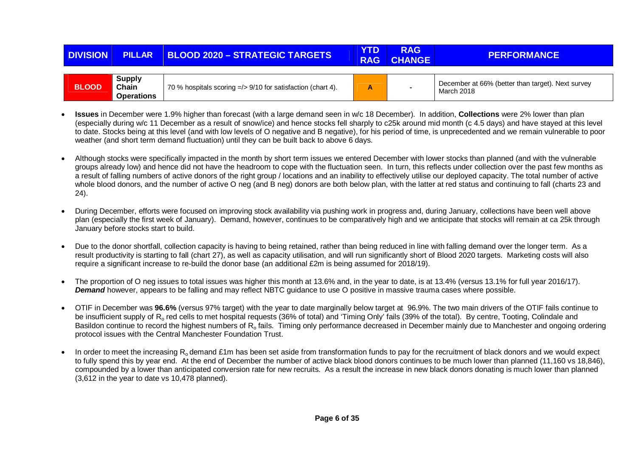| <b>DIVISION</b> | <b>PILLAR</b>                               | <b>BLOOD 2020 - STRATEGIC TARGETS</b>                       | <b>YTD</b><br><b>RAG</b> | <b>RAG</b><br><b>CHANGE</b> | <b>PERFORMANCE</b>                                              |
|-----------------|---------------------------------------------|-------------------------------------------------------------|--------------------------|-----------------------------|-----------------------------------------------------------------|
|                 |                                             |                                                             |                          |                             |                                                                 |
| <b>BLOOD</b>    | <b>Supply</b><br>Chain<br><b>Operations</b> | 70 % hospitals scoring =/> 9/10 for satisfaction (chart 4). |                          | $\sim$                      | December at 66% (better than target). Next survey<br>March 2018 |

- • **Issues** in December were 1.9% higher than forecast (with a large demand seen in w/c 18 December). In addition, **Collections** were 2% lower than plan (especially during w/c 11 December as a result of snow/ice) and hence stocks fell sharply to c25k around mid month (c 4.5 days) and have stayed at this level to date. Stocks being at this level (and with low levels of O negative and B negative), for his period of time, is unprecedented and we remain vulnerable to poor weather (and short term demand fluctuation) until they can be built back to above 6 days.
- Although stocks were specifically impacted in the month by short term issues we entered December with lower stocks than planned (and with the vulnerable groups already low) and hence did not have the headroom to cope with the fluctuation seen. In turn, this reflects under collection over the past few months as a result of falling numbers of active donors of the right group / locations and an inability to effectively utilise our deployed capacity. The total number of active whole blood donors, and the number of active O neg (and B neg) donors are both below plan, with the latter at red status and continuing to fall (charts 23 and 24).
- During December, efforts were focused on improving stock availability via pushing work in progress and, during January, collections have been well above plan (especially the first week of January). Demand, however, continues to be comparatively high and we anticipate that stocks will remain at ca 25k through January before stocks start to build.
- Due to the donor shortfall, collection capacity is having to being retained, rather than being reduced in line with falling demand over the longer term. As a result productivity is starting to fall (chart 27), as well as capacity utilisation, and will run significantly short of Blood 2020 targets. Marketing costs will also require a significant increase to re-build the donor base (an additional £2m is being assumed for 2018/19).
- The proportion of O neg issues to total issues was higher this month at 13.6% and, in the year to date, is at 13.4% (versus 13.1% for full year 2016/17). **Demand** however, appears to be falling and may reflect NBTC guidance to use O positive in massive trauma cases where possible.
- OTIF in December was **96.6%** (versus 97% target) with the year to date marginally below target at 96.9%. The two main drivers of the OTIF fails continue to be insufficient supply of R<sub>o</sub> red cells to met hospital requests (36% of total) and 'Timing Only' fails (39% of the total). By centre, Tooting, Colindale and Basildon continue to record the highest numbers of R<sub>o</sub> fails. Timing only performance decreased in December mainly due to Manchester and ongoing ordering protocol issues with the Central Manchester Foundation Trust.
- In order to meet the increasing  $R_0$  demand £1m has been set aside from transformation funds to pay for the recruitment of black donors and we would expect to fully spend this by year end. At the end of December the number of active black blood donors continues to be much lower than planned (11,160 vs 18,846), compounded by a lower than anticipated conversion rate for new recruits. As a result the increase in new black donors donating is much lower than planned (3,612 in the year to date vs 10,478 planned).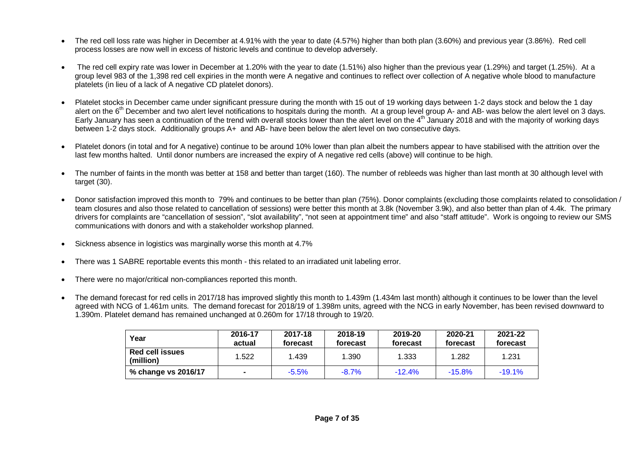- The red cell loss rate was higher in December at 4.91% with the year to date (4.57%) higher than both plan (3.60%) and previous year (3.86%). Red cell process losses are now well in excess of historic levels and continue to develop adversely.
- The red cell expiry rate was lower in December at 1.20% with the year to date (1.51%) also higher than the previous year (1.29%) and target (1.25%). At a group level 983 of the 1,398 red cell expiries in the month were A negative and continues to reflect over collection of A negative whole blood to manufactureplatelets (in lieu of a lack of A negative CD platelet donors).
- Platelet stocks in December came under significant pressure during the month with 15 out of 19 working days between 1-2 days stock and below the 1 day alert on the 6<sup>th</sup> December and two alert level notifications to hospitals during the month. At a group level group A- and AB- was below the alert level on 3 days. Early January has seen a continuation of the trend with overall stocks lower than the alert level on the 4<sup>th</sup> January 2018 and with the majority of working days between 1-2 days stock. Additionally groups A+ and AB- have been below the alert level on two consecutive days.
- Platelet donors (in total and for A negative) continue to be around 10% lower than plan albeit the numbers appear to have stabilised with the attrition over the last few months halted. Until donor numbers are increased the expiry of A negative red cells (above) will continue to be high.
- The number of faints in the month was better at 158 and better than target (160). The number of rebleeds was higher than last month at 30 although level with target (30).
- Donor satisfaction improved this month to 79% and continues to be better than plan (75%). Donor complaints (excluding those complaints related to consolidation / team closures and also those related to cancellation of sessions) were better this month at 3.8k (November 3.9k), and also better than plan of 4.4k. The primary drivers for complaints are "cancellation of session", "slot availability", "not seen at appointment time" and also "staff attitude". Work is ongoing to review our SMS communications with donors and with a stakeholder workshop planned.
- Sickness absence in logistics was marginally worse this month at 4.7%
- There was 1 SABRE reportable events this month this related to an irradiated unit labeling error.
- There were no major/critical non-compliances reported this month.
- The demand forecast for red cells in 2017/18 has improved slightly this month to 1.439m (1.434m last month) although it continues to be lower than the level agreed with NCG of 1.461m units. The demand forecast for 2018/19 of 1.398m units, agreed with the NCG in early November, has been revised downward to 1.390m. Platelet demand has remained unchanged at 0.260m for 17/18 through to 19/20.

| Year                         | 2016-17<br>actual | 2017-18<br>forecast | 2018-19<br>forecast | 2019-20<br>forecast | 2020-21<br>forecast | 2021-22<br>forecast |
|------------------------------|-------------------|---------------------|---------------------|---------------------|---------------------|---------------------|
| Red cell issues<br>(million) | 1.522             | 1.439               | 1.390               | 1.333               | 1.282               | 1.231               |
| % change vs 2016/17          |                   | $-5.5\%$            | $-8.7%$             | $-12.4%$            | $-15.8%$            | $-19.1%$            |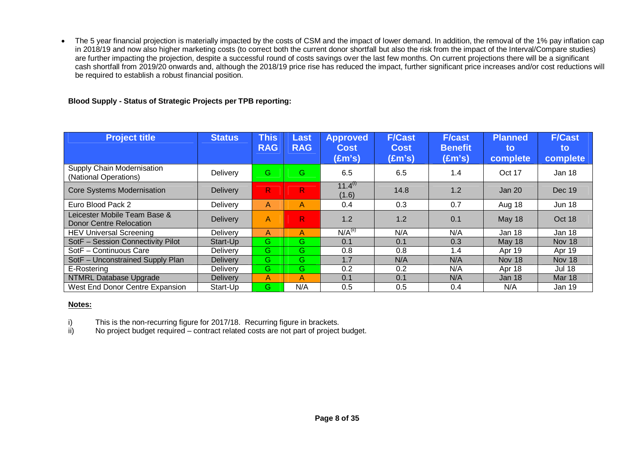• The 5 year financial projection is materially impacted by the costs of CSM and the impact of lower demand. In addition, the removal of the 1% pay inflation cap in 2018/19 and now also higher marketing costs (to correct both the current donor shortfall but also the risk from the impact of the Interval/Compare studies)are further impacting the projection, despite a successful round of costs savings over the last few months. On current projections there will be a significant cash shortfall from 2019/20 onwards and, although the 2018/19 price rise has reduced the impact, further significant price increases and/or cost reductions will be required to establish a robust financial position.

# **Blood Supply - Status of Strategic Projects per TPB reporting:**

| <b>Project title</b>                                           | <b>Status</b>   | <b>This</b><br><b>RAG</b> | Last<br><b>RAG</b> | <b>Approved</b><br><b>Cost</b><br>$(\text{Em's})$ | <b>F/Cast</b><br><b>Cost</b><br>(£m's) | <b>F/cast</b><br><b>Benefit</b><br>(£m's) | <b>Planned</b><br>to<br>complete | <b>F/Cast</b><br>to<br>complete |
|----------------------------------------------------------------|-----------------|---------------------------|--------------------|---------------------------------------------------|----------------------------------------|-------------------------------------------|----------------------------------|---------------------------------|
| Supply Chain Modernisation<br>(National Operations)            | Delivery        | G                         | G                  | 6.5                                               | 6.5                                    | 1.4                                       | Oct 17                           | Jan 18                          |
| <b>Core Systems Modernisation</b>                              | <b>Delivery</b> | $\mathsf{R}^!$            | R.                 | $11.4^{(1)}$<br>(1.6)                             | 14.8                                   | 1.2                                       | Jan $201$                        | Dec 19                          |
| Euro Blood Pack 2                                              | Delivery        | A                         | A                  | 0.4                                               | 0.3                                    | 0.7                                       | Aug 18                           | <b>Jun 18</b>                   |
| Leicester Mobile Team Base &<br><b>Donor Centre Relocation</b> | <b>Delivery</b> | A                         | R.                 | 1.2                                               | 1.2                                    | 0.1                                       | May 18                           | Oct 18                          |
| <b>HEV Universal Screening</b>                                 | Delivery        | A                         | A                  | N/A <sup>(II)</sup>                               | N/A                                    | N/A                                       | Jan 18                           | Jan 18                          |
| SotF - Session Connectivity Pilot                              | Start-Up        | G.                        | G                  | 0.1                                               | 0.1                                    | 0.3                                       | May 18                           | Nov 18                          |
| SotF - Continuous Care                                         | Delivery        | G.                        | G                  | 0.8                                               | 0.8                                    | 1.4                                       | Apr 19                           | Apr 19                          |
| SotF - Unconstrained Supply Plan                               | <b>Delivery</b> | G.                        | G.                 | 1.7                                               | N/A                                    | N/A                                       | Nov 18                           | Nov 18                          |
| E-Rostering                                                    | <b>Delivery</b> | Ġ.                        | G.                 | 0.2                                               | 0.2                                    | N/A                                       | Apr 18                           | <b>Jul 18</b>                   |
| NTMRL Database Upgrade                                         | <b>Delivery</b> | A                         | A                  | 0.1                                               | 0.1                                    | N/A                                       | Jan 18                           | <b>Mar 18</b>                   |
| West End Donor Centre Expansion                                | Start-Up        | G.                        | N/A                | 0.5                                               | 0.5                                    | 0.4                                       | N/A                              | Jan 19                          |

# **Notes:**

i) This is the non-recurring figure for 2017/18. Recurring figure in brackets.<br>ii) No project budget required – contract related costs are not part of project

ii) No project budget required – contract related costs are not part of project budget.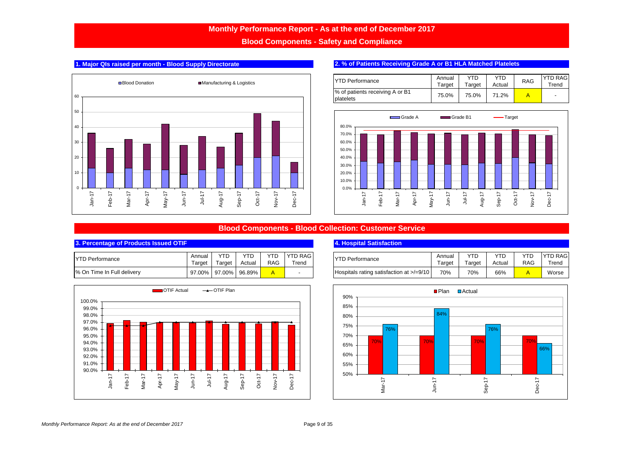**Blood Components - Safety and Compliance**



# **1. Major QIs raised per month - Blood Supply Directorate 2. 2. % of Patients Receiving Grade A or B1 HLA Matched Platelets**

| <b>IYTD Performance</b>                      | Annual<br>Target | YTD<br>Target | YTD<br>Actual | <b>RAG</b> | <b>YTD RAG</b><br>Trend |
|----------------------------------------------|------------------|---------------|---------------|------------|-------------------------|
| % of patients receiving A or B1<br>platelets | 75.0%            | 75.0%         | 71.2%         |            | $\blacksquare$          |



# **Blood Components - Blood Collection: Customer Service**

### **3. Percentage of Products Issued OTIF**

| <b>IYTD Performance</b>    | Annual | <b>YTD</b>           | YTD.   | YTD. | <b>IYTD RAG</b>          |
|----------------------------|--------|----------------------|--------|------|--------------------------|
|                            | Target | Target               | Actual | RAG  | Trend                    |
| % On Time In Full delivery |        | 97.00% 97.00% 96.89% |        |      | $\overline{\phantom{0}}$ |



### **4. Hospital Satisfaction**

| Annual | 7T D   | YTD    | YTD | <b>YTD RAG</b> | <b>TYD Performance</b>                   | Annua  | YTD    | YTD    | YTC | <b>YTD RAG</b> |
|--------|--------|--------|-----|----------------|------------------------------------------|--------|--------|--------|-----|----------------|
| Target | Tarɑet | Actual | RAG | $T$ rend       |                                          | Target | ⊺arɑet | Actual | RAG | $T$ rend       |
| 97.00% | 97.00% | 96.89% |     |                | Hospitals rating satisfaction at >/=9/10 | 70%    | 70%    | 66%    |     | Worse          |

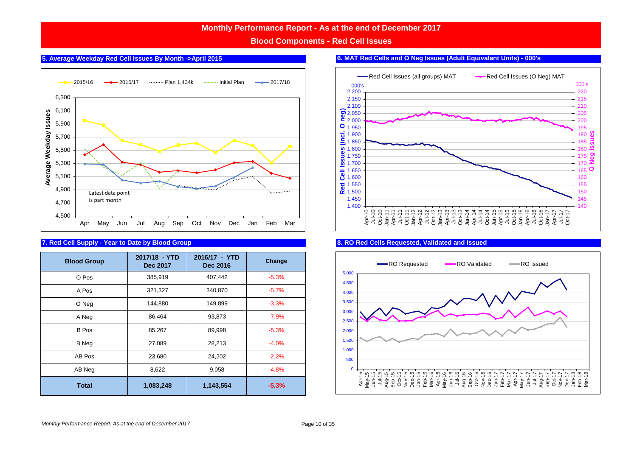**Blood Components - Red Cell Issues**



## **7. Red Cell Supply - Year to Date by Blood Group**

| <b>Blood Group</b> | 2017/18 - YTD<br>Dec 2017 | 2016/17 - YTD<br>Dec 2016 | Change  |
|--------------------|---------------------------|---------------------------|---------|
| O Pos              | 385,919                   | 407,442                   | $-5.3%$ |
| A Pos              | 321,327                   | 340,870                   | $-5.7%$ |
| O Neg              | 144,880                   | 149,899                   | $-3.3%$ |
| A Neg              | 86,464                    | 93,873                    | $-7.9%$ |
| B Pos              | 85,267                    | 89,998                    | $-5.3%$ |
| <b>B</b> Neg       | 27,089                    | 28,213                    | $-4.0%$ |
| AB Pos             | 23,680                    | 24,202                    | $-2.2%$ |
| AB Neg             | 8,622                     | 9,058                     | $-4.8%$ |
| <b>Total</b>       | 1,083,248                 | 1,143,554                 | $-5.3%$ |

# **5. Average Weekday Red Cell Issues By Month ->April 2015 6. MAT Red Cells and O Neg Issues (Adult Equivalant Units) - 000's**



### **8. RO Red Cells Requested, Validated and Issued**

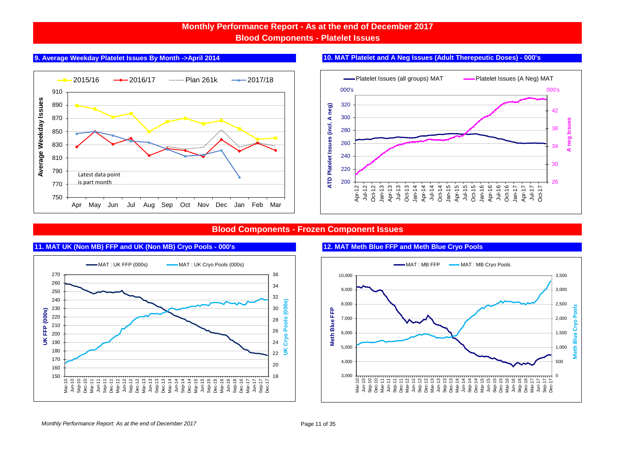# **Monthly Performance Report - As at the end of December 2017 Blood Components - Platelet Issues**



# **9. Average Weekday Platelet Issues By Month ->April 2014 10. MAT Platelet and A Neg Issues (Adult Therepeutic Doses) - 000's**



# **Blood Components - Frozen Component Issues**



# **11. MAT UK (Non MB) FFP and UK (Non MB) Cryo Pools - 000's 12. MAT Meth Blue FFP and Meth Blue Cryo Pools**

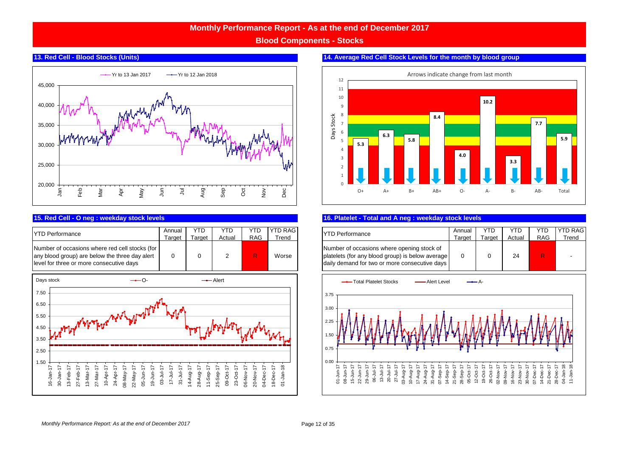**Blood Components - Stocks**

### **13. Red Cell - Blood Stocks (Units)**



| <b>IYTD Performance</b>                                                                                                                      | Annual | YTD    | YTD    | YTD        | <b>YTD RAG</b> |
|----------------------------------------------------------------------------------------------------------------------------------------------|--------|--------|--------|------------|----------------|
|                                                                                                                                              | Tarɑet | Tarɑet | Actual | <b>RAG</b> | Trend          |
| Number of occasions where red cell stocks (for<br>any blood group) are below the three day alert<br>level for three or more consecutive days |        |        |        |            | Worse          |





### **14. Average Red Cell Stock Levels for the month by blood group**

### **15. Red Cell - O neg : weekday stock levels** BC # 3 **16. Platelet - Total and A neg : weekday stock levels**

| TD RAG I | <b>YTD Performance</b>                                                                                                                          | Annual | YTD    | YTD    | YTD        | <b>YTD RAG</b> |
|----------|-------------------------------------------------------------------------------------------------------------------------------------------------|--------|--------|--------|------------|----------------|
| Trend    |                                                                                                                                                 | Tarɑet | Target | Actual | <b>RAG</b> | Trend          |
| Worse    | Number of occasions where opening stock of<br>platelets (for any blood group) is below average<br>daily demand for two or more consecutive days |        |        | 24     | R          |                |

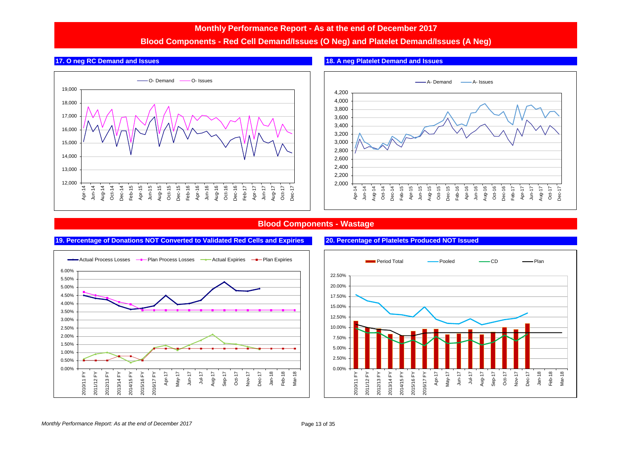# **Blood Components - Red Cell Demand/Issues (O Neg) and Platelet Demand/Issues (A Neg)**







# **Blood Components - Wastage**



### **19. Percentage of Donations NOT Converted to Validated Red Cells and Expiries 20. Percentage of Platelets Produced NOT Issued**

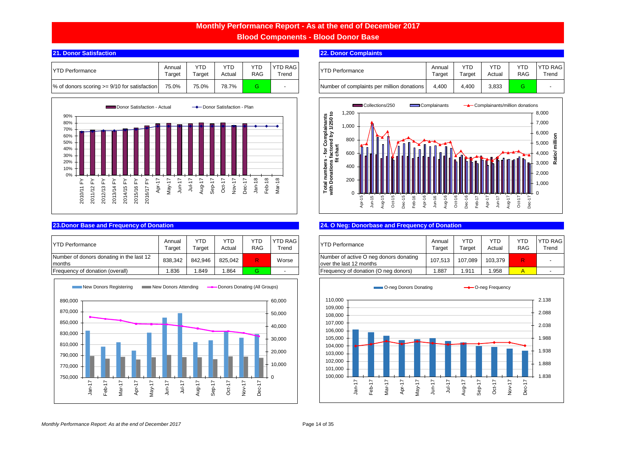**Blood Components - Blood Donor Base**

| <b>TYTD Performance</b>                        | Annual<br>Target | YTD<br>$\tau$ arget | <b>YTD</b><br>Actual | YTD.<br><b>RAG</b> | <b>YTD RAG</b><br>$T$ rend | <b>YTD Performance</b>                     | Annual<br>Γarαet | <b>YTD</b><br>Target | YTC<br>Actual | <b>YTL</b><br><b>RAG</b> | <b>YTD</b><br>Tre |
|------------------------------------------------|------------------|---------------------|----------------------|--------------------|----------------------------|--------------------------------------------|------------------|----------------------|---------------|--------------------------|-------------------|
| % of donors scoring $>= 9/10$ for satisfaction | 75.0%            | 75.0%               | 78.7%                |                    |                            | Number of complaints per million donations | 4.400            | 4.400                | 3,833         |                          |                   |



| <b>IYTD Performance</b>                            | Annual<br>Гarget | YTC<br>araet <sup>-</sup> | <b>YTD</b><br>Actual | <b>YTL</b><br><b>RAG</b> | <b>YTD RAG</b><br>Trend | <b>YTD Performance</b>                                             | Annual<br>Target | YTD<br>Target | <b>YTD</b><br>Actual | <b>YTL</b><br><b>RAG</b> | YTD<br>Tre |
|----------------------------------------------------|------------------|---------------------------|----------------------|--------------------------|-------------------------|--------------------------------------------------------------------|------------------|---------------|----------------------|--------------------------|------------|
| Number of donors donating in the last 12<br>months | 838.342          | 842.946                   | 825.042              |                          | Worse                   | Number of active O neg donors donating<br>lover the last 12 months | 107.513          | 107.089       | 103.379              | R                        |            |
| Frequency of donation (overall)                    | .836             | .849                      | .864                 |                          |                         | Frequency of donation (O neg donors)                               | .887             | .91           | 1.958                |                          |            |



### **21. Donor Satisfaction** BC # 5 **22. Donor Complaints** BC # 5 **22. Donor Complaints**

| <b>ID RAG</b><br><b>Trend</b> | <b>YTD Performance</b>                     | Annual<br>Tarɑet | YTD<br>$\tau$ arget | YTD<br>Actual | RAG | <b>YTD RAG</b><br>Trend  |
|-------------------------------|--------------------------------------------|------------------|---------------------|---------------|-----|--------------------------|
|                               | Number of complaints per million donations | 4.400            | 4.400               | 3,833         |     | $\overline{\phantom{a}}$ |



### **23.Donor Base and Frequency of Donation** BC # 6 BC # 7 **24. O Neg: Donorbase and Frequency of Donation** BC # 8 BC # 9 BC # 9 BC # 9 BC # 8 BC # 8 BC # 8 BC # 8 BC # 8 BC # 8 BC # 9 BC # 9 BC # 9 BC # 8 BC # 8 BC # 9 BC #

| <b>ID RAG</b><br>Trend | <b>YTD Performance</b>                                             | Annual<br>Target | YTD<br>Target | YTD<br>Actual | YTD<br><b>RAG</b> | <b>YTD RAG</b><br>Trend  |
|------------------------|--------------------------------------------------------------------|------------------|---------------|---------------|-------------------|--------------------------|
| Worse                  | Number of active O neg donors donating<br>lover the last 12 months | 107.513          | 107.089       | 103.379       |                   | $\overline{\phantom{a}}$ |
|                        | Frequency of donation (O neg donors)                               | .887             | 1.911         | 1.958         |                   | $\overline{\phantom{a}}$ |

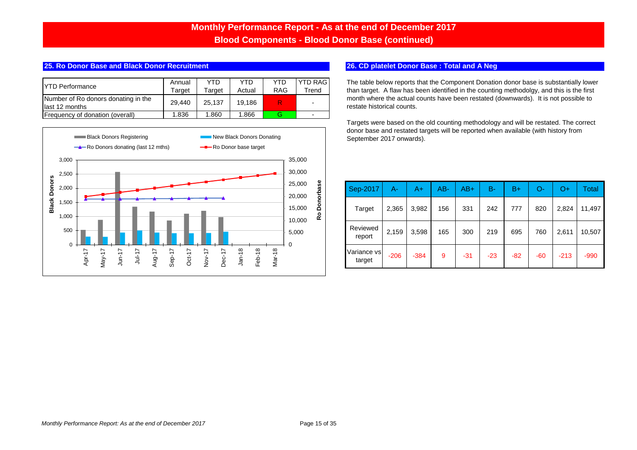# **Monthly Performance Report - As at the end of December 2017 Blood Components - Blood Donor Base (continued)**

# **25. Ro Donor Base and Black Donor Recruitment** BC # 6 BC # 7 **26. CD platelet Donor Base : Total and A Neg # 8 BC # 9 BC # 9 BC # 9 BC # 8 BC # 8 BC # 8 BC # 8 BC # 8 BC # 8 BC # 9 BC # 9 BC # 8 BC # 8 BC # 8 BC # 9 BC #**

| <b>YTD Performance</b>                                 | Annual<br>Tarɑet | YTD<br>Tarɑet | YTD<br>Actual | YTD<br><b>RAG</b> | <b>YTD RAG</b><br>Trend  |
|--------------------------------------------------------|------------------|---------------|---------------|-------------------|--------------------------|
| Number of Ro donors donating in the<br>llast 12 months | 29.440           | 25.137        | 19.186        |                   | $\overline{\phantom{0}}$ |
| <b>IFrequency of donation (overall)</b>                | 1.836            | 1.860         | 1.866         |                   | $\overline{\phantom{0}}$ |



The table below reports that the Component Donation donor base is substantially lower than target. A flaw has been identified in the counting methodolgy, and this is the first month where the actual counts have been restated (downwards). It is not possible to restate historical counts.

Targets were based on the old counting methodology and will be restated. The correct donor base and restated targets will be reported when available (with history from September 2017 onwards).

| Sep-2017              | А-     | A+     | $AB -$ | $AB+$ | В-    | $B+$  | O-    | O+     | Total  |
|-----------------------|--------|--------|--------|-------|-------|-------|-------|--------|--------|
| Target                | 2,365  | 3,982  | 156    | 331   | 242   | 777   | 820   | 2,824  | 11,497 |
| Reviewed<br>report    | 2,159  | 3,598  | 165    | 300   | 219   | 695   | 760   | 2,611  | 10,507 |
| Variance vs<br>target | $-206$ | $-384$ | 9      | $-31$ | $-23$ | $-82$ | $-60$ | $-213$ | $-990$ |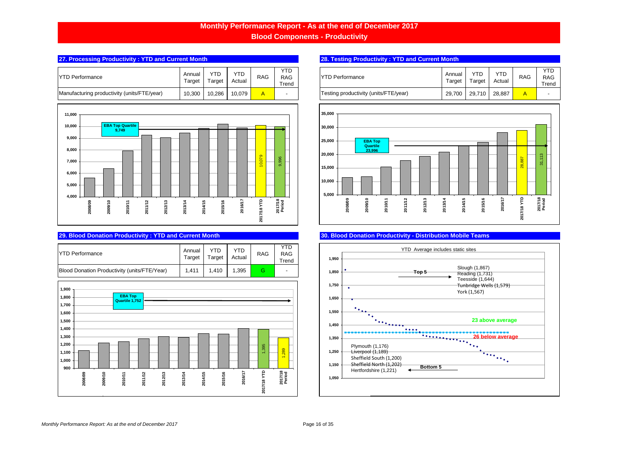**Blood Components - Productivity**

## **27. Processing Productivity : YTD and Current Month** BC # 17 **28. Testing Productivity : YTD and Current Month**

| <b>YTD Performance</b>                      | Annual<br>Target | YTD<br>Target | YTD<br>Actual | <b>RAG</b> | YTD<br>RAG<br>Trend |
|---------------------------------------------|------------------|---------------|---------------|------------|---------------------|
| Manufacturing productivity (units/FTE/year) | 10,300           | 10.286        | 10.079        |            | -                   |



| <b>YTD Performance</b>                       | Annual<br>Target | Target | YTD<br>Actual | <b>RAG</b> | <b>RAG</b><br>Trend      |
|----------------------------------------------|------------------|--------|---------------|------------|--------------------------|
| Blood Donation Productivity (units/FTE/Year) | 1.411            | 1.410  | 1.395         | G          | $\overline{\phantom{a}}$ |



| Annual<br>Target | YTD<br>Target | YTD<br>Actual | <b>RAG</b> | YTD<br><b>RAG</b><br>Trend | <b>YTD Performance</b>                | Annual<br>Target | YTD<br>Target | YTD<br>Actual | <b>RAG</b> | <b>YTD</b><br><b>RAG</b><br>Trend |
|------------------|---------------|---------------|------------|----------------------------|---------------------------------------|------------------|---------------|---------------|------------|-----------------------------------|
| 10,300           | 10,286        | 10.079        |            | $\overline{\phantom{0}}$   | Testing productivity (units/FTE/year) | 29,700           | 29.710        | 28.887        | A          |                                   |



# **29. Blood Donation Productivity : YTD and Current Month** BC # 19 **30. Blood Donation Productivity - Distribution Mobile Teams**

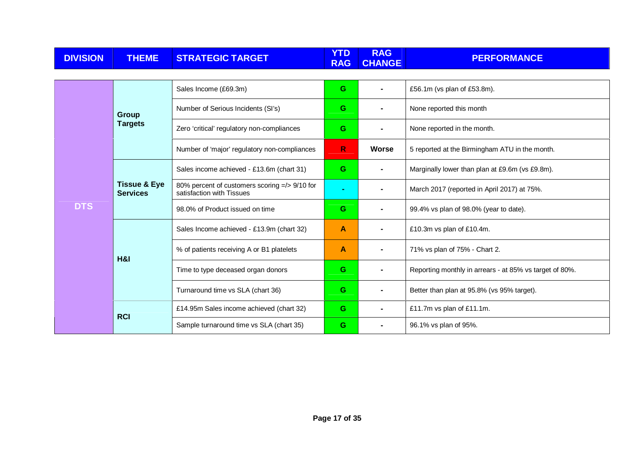| <b>DIVISION</b> | <b>THEME</b>                               | <b>STRATEGIC TARGET</b>                                                    | <b>YTD</b><br><b>RAG</b> | <b>RAG</b><br><b>CHANGE</b> | <b>PERFORMANCE</b>                                      |
|-----------------|--------------------------------------------|----------------------------------------------------------------------------|--------------------------|-----------------------------|---------------------------------------------------------|
|                 |                                            |                                                                            |                          |                             |                                                         |
|                 |                                            | Sales Income (£69.3m)                                                      |                          |                             | £56.1m (vs plan of £53.8m).                             |
|                 | Group                                      | Number of Serious Incidents (SI's)                                         | G.                       |                             | None reported this month                                |
|                 | <b>Targets</b>                             | Zero 'critical' regulatory non-compliances                                 | G.                       |                             | None reported in the month.                             |
|                 |                                            | Number of 'major' regulatory non-compliances                               | R.                       | <b>Worse</b>                | 5 reported at the Birmingham ATU in the month.          |
|                 |                                            | Sales income achieved - £13.6m (chart 31)                                  |                          |                             | Marginally lower than plan at £9.6m (vs £9.8m).         |
|                 | <b>Tissue &amp; Eye</b><br><b>Services</b> | 80% percent of customers scoring =/> 9/10 for<br>satisfaction with Tissues | $\blacksquare$           |                             | March 2017 (reported in April 2017) at 75%.             |
| <b>DTS</b>      |                                            | 98.0% of Product issued on time                                            | G.                       |                             | 99.4% vs plan of 98.0% (year to date).                  |
|                 |                                            | Sales Income achieved - £13.9m (chart 32)                                  | A                        |                             | £10.3m vs plan of £10.4m.                               |
|                 | H&I                                        | % of patients receiving A or B1 platelets                                  | Α                        |                             | 71% vs plan of 75% - Chart 2.                           |
|                 |                                            | Time to type deceased organ donors                                         | G                        |                             | Reporting monthly in arrears - at 85% vs target of 80%. |
|                 |                                            | Turnaround time vs SLA (chart 36)                                          | G.                       |                             | Better than plan at 95.8% (vs 95% target).              |
|                 | <b>RCI</b>                                 | £14.95m Sales income achieved (chart 32)                                   | G.                       |                             | £11.7m vs plan of £11.1m.                               |
|                 |                                            | Sample turnaround time vs SLA (chart 35)                                   | G.                       |                             | 96.1% vs plan of 95%.                                   |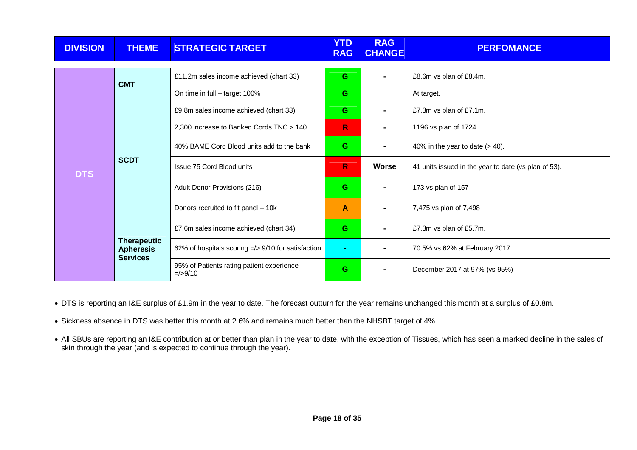| <b>DIVISION</b> | <b>THEME</b>                           | <b>STRATEGIC TARGET</b>                                  | <b>YTD</b><br><b>RAG</b> | <b>RAG</b><br><b>CHANGE</b> | <b>PERFOMANCE</b>                                    |
|-----------------|----------------------------------------|----------------------------------------------------------|--------------------------|-----------------------------|------------------------------------------------------|
|                 |                                        |                                                          |                          |                             |                                                      |
|                 | <b>CMT</b>                             | £11.2m sales income achieved (chart 33)                  | G                        |                             | £8.6m vs plan of £8.4m.                              |
|                 |                                        | On time in full - target 100%                            | G                        |                             | At target.                                           |
|                 |                                        | £9.8m sales income achieved (chart 33)                   | G                        |                             | £7.3m vs plan of £7.1m.                              |
|                 | <b>SCDT</b>                            | 2,300 increase to Banked Cords TNC > 140                 | $\mathsf{R}$             | $\blacksquare$              | 1196 vs plan of 1724.                                |
|                 |                                        | 40% BAME Cord Blood units add to the bank                | G.                       |                             | 40% in the year to date $(> 40)$ .                   |
| <b>DTS</b>      |                                        | <b>Issue 75 Cord Blood units</b>                         | R.                       | <b>Worse</b>                | 41 units issued in the year to date (vs plan of 53). |
|                 |                                        | Adult Donor Provisions (216)                             | G                        |                             | 173 vs plan of 157                                   |
|                 |                                        | Donors recruited to fit panel - 10k                      | A                        |                             | 7,475 vs plan of 7,498                               |
|                 |                                        | £7.6m sales income achieved (chart 34)                   | G                        | $\blacksquare$              | £7.3m vs plan of £5.7m.                              |
|                 | <b>Therapeutic</b><br><b>Apheresis</b> | 62% of hospitals scoring $\approx$ 9/10 for satisfaction | ٠                        |                             | 70.5% vs 62% at February 2017.                       |
|                 | <b>Services</b>                        | 95% of Patients rating patient experience<br>$=$ />9/10  | G                        |                             | December 2017 at 97% (vs 95%)                        |

• DTS is reporting an I&E surplus of £1.9m in the year to date. The forecast outturn for the year remains unchanged this month at a surplus of £0.8m.

• Sickness absence in DTS was better this month at 2.6% and remains much better than the NHSBT target of 4%.

∙ All SBUs are reporting an I&E contribution at or better than plan in the year to date, with the exception of Tissues, which has seen a marked decline in the sales of<br>skin through the year (and is expected to continue th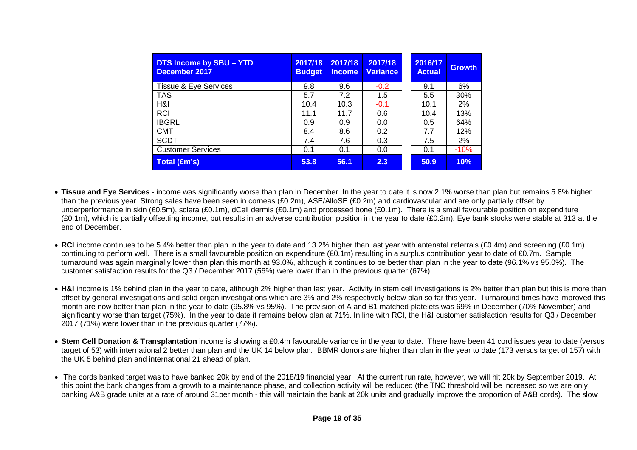| DTS Income by SBU - YTD<br><b>December 2017</b> | 2017/18<br><b>Budget</b> | 2017/18<br><b>Income</b> | 2017/18<br><b>Variance</b> | 2016/17<br><b>Actual</b> | <b>Growth</b> |
|-------------------------------------------------|--------------------------|--------------------------|----------------------------|--------------------------|---------------|
| Tissue & Eye Services                           | 9.8                      | 9.6                      | $-0.2$                     | 9.1                      | 6%            |
| <b>TAS</b>                                      | 5.7                      | 7.2                      | 1.5                        | 5.5                      | 30%           |
| H&I                                             | 10.4                     | 10.3                     | $-0.1$                     | 10.1                     | 2%            |
| <b>RCI</b>                                      | 11.1                     | 11.7                     | 0.6                        | 10.4                     | 13%           |
| <b>IBGRL</b>                                    | 0.9                      | 0.9                      | 0.0                        | 0.5                      | 64%           |
| <b>CMT</b>                                      | 8.4                      | 8.6                      | 0.2                        | 7.7                      | 12%           |
| <b>SCDT</b>                                     | 7.4                      | 7.6                      | 0.3                        | 7.5                      | 2%            |
| <b>Customer Services</b>                        | 0.1                      | 0.1                      | 0.0                        | 0.1                      | $-16%$        |
| <b>Total (£m's)</b>                             | 53.8                     | 56.1                     | 2.3                        | 50.9                     | 10%           |

- **Tissue and Eye Services**  income was significantly worse than plan in December. In the year to date it is now 2.1% worse than plan but remains 5.8% higher than the previous year. Strong sales have been seen in corneas (£0.2m), ASE/AlloSE (£0.2m) and cardiovascular and are only partially offset by underperformance in skin (£0.5m), sclera (£0.1m), dCell dermis (£0.1m) and processed bone (£0.1m). There is a small favourable position on expenditure (£0.1m), which is partially offsetting income, but results in an adverse contribution position in the year to date (£0.2m). Eye bank stocks were stable at 313 at the end of December.
- **RCI** income continues to be 5.4% better than plan in the year to date and 13.2% higher than last year with antenatal referrals (£0.4m) and screening (£0.1m) continuing to perform well. There is a small favourable position on expenditure (£0.1m) resulting in a surplus contribution year to date of £0.7m. Sample turnaround was again marginally lower than plan this month at 93.0%, although it continues to be better than plan in the year to date (96.1% vs 95.0%). Thecustomer satisfaction results for the Q3 / December 2017 (56%) were lower than in the previous quarter (67%).
- **H&I** income is 1% behind plan in the year to date, although 2% higher than last year. Activity in stem cell investigations is 2% better than plan but this is more than offset by general investigations and solid organ investigations which are 3% and 2% respectively below plan so far this year. Turnaround times have improved this month are now better than plan in the year to date (95.8% vs 95%). The provision of A and B1 matched platelets was 69% in December (70% November) and significantly worse than target (75%). In the year to date it remains below plan at 71%. In line with RCI, the H&I customer satisfaction results for Q3 / December 2017 (71%) were lower than in the previous quarter (77%).
- **Stem Cell Donation & Transplantation** income is showing a £0.4m favourable variance in the year to date. There have been 41 cord issues year to date (versus target of 53) with international 2 better than plan and the UK 14 below plan. BBMR donors are higher than plan in the year to date (173 versus target of 157) with the UK 5 behind plan and international 21 ahead of plan.
- The cords banked target was to have banked 20k by end of the 2018/19 financial year. At the current run rate, however, we will hit 20k by September 2019. At this point the bank changes from a growth to a maintenance phase, and collection activity will be reduced (the TNC threshold will be increased so we are only banking A&B grade units at a rate of around 31per month - this will maintain the bank at 20k units and gradually improve the proportion of A&B cords). The slow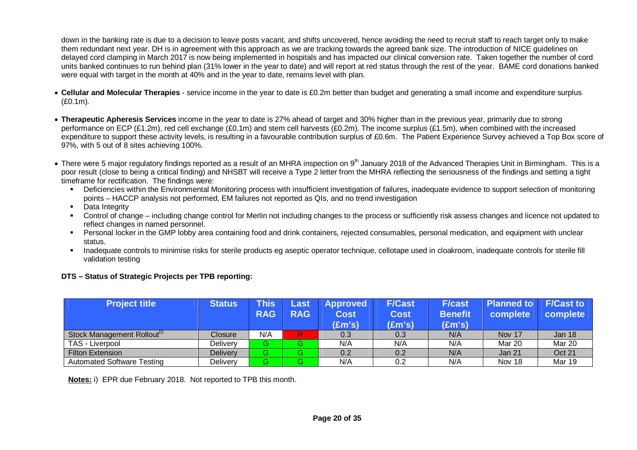down in the banking rate is due to a decision to leave posts vacant, and shifts uncovered, hence avoiding the need to recruit staff to reach target only to make them redundant next year. DH is in agreement with this approach as we are tracking towards the agreed bank size. The introduction of NICE guidelines on delayed cord clamping in March 2017 is now being implemented in hospitals and has impacted our clinical conversion rate. Taken together the number of cord units banked continues to run behind plan (31% lower in the year to date) and will report at red status through the rest of the year. BAME cord donations banked were equal with target in the month at 40% and in the year to date, remains level with plan.

- **Cellular and Molecular Therapies** service income in the year to date is £0.2m better than budget and generating a small income and expenditure surplus (£0.1m).
- **Therapeutic Apheresis Services** income in the year to date is 27% ahead of target and 30% higher than in the previous year, primarily due to strong performance on ECP (£1.2m), red cell exchange (£0.1m) and stem cell harvests (£0.2m). The income surplus (£1.5m), when combined with the increased expenditure to support these activity levels, is resulting in a favourable contribution surplus of £0.6m. The Patient Experience Survey achieved a Top Box score of 97%, with 5 out of 8 sites achieving 100%.
- There were 5 major regulatory findings reported as a result of an MHRA inspection on 9<sup>th</sup> January 2018 of the Advanced Therapies Unit in Birmingham. This is a poor result (close to being a critical finding) and NHSBT will receive a Type 2 letter from the MHRA reflecting the seriousness of the findings and setting a tight timeframe for rectification. The findings were:
	- Deficiencies within the Environmental Monitoring process with insufficient investigation of failures, inadequate evidence to support selection of monitoring points – HACCP analysis not performed, EM failures not reported as QIs, and no trend investigation
	- **-** Data Integrity
	- Control of change including change control for Merlin not including changes to the process or sufficiently risk assess changes and licence not updated to reflect changes in named personnel.
	- Personal locker in the GMP lobby area containing food and drink containers, rejected consumables, personal medication, and equipment with unclear status.
	- Inadequate controls to minimise risks for sterile products eg aseptic operator technique, cellotape used in cloakroom, inadequate controls for sterile fill validation testing

# **DTS – Status of Strategic Projects per TPB reporting:**

| <b>Project title</b>                    | <b>Status</b>   | This       | Last       | <b>Approved</b> | <b>F/Cast</b>   | <b>F/cast</b>   | Planned to    | <b>F/Cast to</b> |
|-----------------------------------------|-----------------|------------|------------|-----------------|-----------------|-----------------|---------------|------------------|
|                                         |                 | <b>RAG</b> | <b>RAG</b> | Cost            | <b>Cost</b>     | <b>Benefit</b>  | complete      | complete         |
|                                         |                 |            |            | (£m's)          | $(\text{Em's})$ | $(\text{Em's})$ |               |                  |
| Stock Management Rollout <sup>(1)</sup> | Closure         | N/A        | R          | 0.3             | 0.3             | N/A             | Nov 17        | Jan 18           |
| TAS - Liverpool                         | Delivery        | G          | G.         | N/A             | N/A             | N/A             | Mar 20        | Mar 20           |
| <b>Filton Extension</b>                 | <b>Delivery</b> | G          | G.         | 0.2             | 0.2             | N/A             | Jan 21        | <b>Oct 21</b>    |
| <b>Automated Software Testing</b>       | Delivery        | G          | G.         | N/A             | 0.2             | N/A             | <b>Nov 18</b> | Mar 19           |

**Notes:** i) EPR due February 2018. Not reported to TPB this month.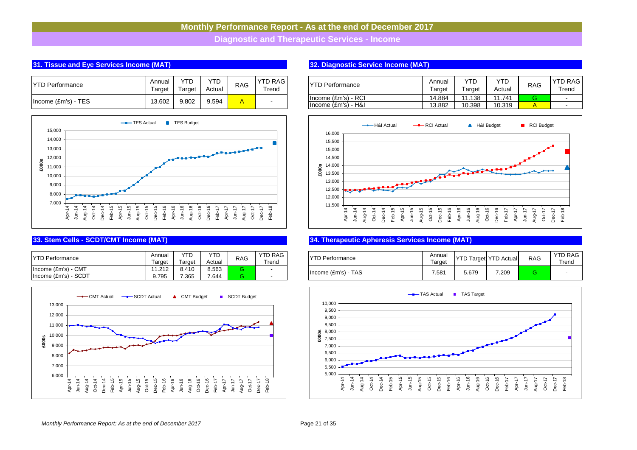**Diagnostic and Therapeutic Services - Income**

# **31. Tissue and Eye Services Income (MAT)** The Text # 1 **32. Diagnostic Service Income (MAT)**  $\overline{a}$  # 1  $\overline{b}$   $\overline{c}$   $\overline{d}$   $\overline{d}$   $\overline{d}$   $\overline{d}$   $\overline{d}$   $\overline{d}$   $\overline{d}$   $\overline{d}$   $\overline{d}$   $\overline{d}$   $\overline{d}$

| <b>IYTD Performance</b> | Annual<br>⊺arɑet | $\sf {r}$ arɑet | Actual | <b>RAG</b> | YTD RAG I<br>⊺rend | IYTD Performance                           |
|-------------------------|------------------|-----------------|--------|------------|--------------------|--------------------------------------------|
| Income (£m's) - TES     | 13.602           | 9.802           | 9.594  |            |                    | Income (£m's) - RCI<br>Income (£m's) - H&I |



| <b>YTD Performance</b>                             | .Annuن<br>arget     | <b>VTD</b><br>⊺arɑet | YTD<br>Actual | <b>RAG</b> | YTD RAG<br>Trend | <b>IYTD Performance</b> | Annual<br>arget | <b>IVTP</b><br>Target<br>. ש | $\sqrt{2}$<br><b>D</b> Actual | <b>RA</b> |
|----------------------------------------------------|---------------------|----------------------|---------------|------------|------------------|-------------------------|-----------------|------------------------------|-------------------------------|-----------|
| CM <sup>-</sup><br>Income $(\text{Em's}) - \theta$ | 11.212<br>I I.Z I Z | 8.410                | 8.563         |            |                  | Income (£m's) - TAS     | 7.581           | 5.679                        | 7.209                         |           |
| Income (£m's) - SCDT                               | 9.795               | 7.365                | 7.644         |            |                  |                         |                 |                              |                               |           |



| <b>YTD Performance</b>    | Annual<br>Tarɑet | YTD<br>Tarɑet | YTD<br>Actual | <b>RAG</b> | YTD RAG<br>Trend         |
|---------------------------|------------------|---------------|---------------|------------|--------------------------|
| $Income$ $(Em's) - RCl$   | 14.884           | 11.138        | 11.741        | ≏          | $\overline{\phantom{a}}$ |
| $ $ Income $ Em's $ - H&I | 13.882           | 10.398        | 10.319        |            | $\blacksquare$           |



### **33. Stem Cells - SCDT/CMT Income (MAT)** CMT  $\overline{X}$  34. Therapeutic Apheresis Services Income (MAT)

| <b>YTD Performance</b> | Annual<br>Target |       | <b>YTD Target YTD Actual</b> | <b>RAG</b> | <b>YTD RAG</b><br>$\tau$ rend |
|------------------------|------------------|-------|------------------------------|------------|-------------------------------|
| $Income (Em's) - TAS$  | 7.581            | 5.679 | 7.209                        | R          | -                             |

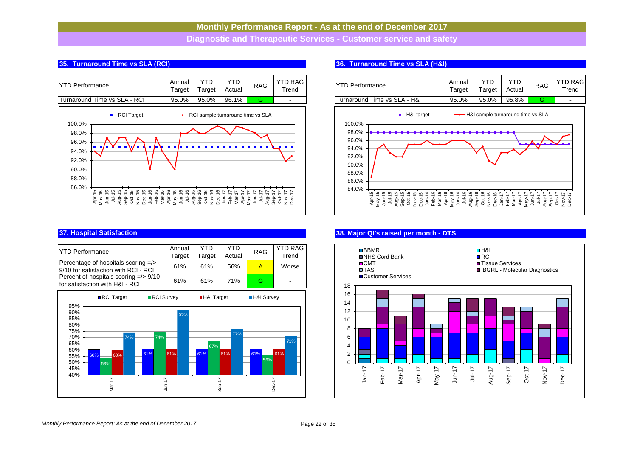**Diagnostic and Therapeutic Services - Customer service and safety**

# **35. Turnaround Time vs SLA (RCI) Report Figure 2018 Report Figure 2018 36. Turnaround Time vs SLA (H&I) H&I # 7 <b>36.** Turnaround Time vs SLA (H&I)

| <b>IYTD Performance</b>       | Annual<br>Target | Target | Actual | <b>RAG</b> | <b>YTD RAG</b><br>Trend |
|-------------------------------|------------------|--------|--------|------------|-------------------------|
| lTurnaround Time vs SLA - RCI | 95.0%            | 95.0%  | 96.1%  |            | $\sim$                  |



| <b>YTD Performance</b><br>Percentage of hospitals scoring =/><br>9/10 for satisfaction with RCI - RCI               | Annual<br>Target<br>61% | <b>YTD</b><br>Target<br>61% | <b>YTD</b><br>Actual<br>56% | <b>RAG</b><br>$\overline{A}$ | <b>YTD RAG</b><br>Trend<br>Worse |
|---------------------------------------------------------------------------------------------------------------------|-------------------------|-----------------------------|-----------------------------|------------------------------|----------------------------------|
| Percent of hospitals scoring =/> 9/10<br>for satisfaction with H&I - RCI                                            | 61%                     | 61%                         | 71%                         | G                            |                                  |
| RCI Target<br>RCI Survey<br>95%                                                                                     |                         | H&I Target                  |                             | <b>H&amp;I</b> Survey        |                                  |
| 90%<br>85%<br>80%<br>75%<br>70%<br>74%<br>74%<br>65%<br>60%<br>61%<br>60%<br>60%<br>55%<br>50%<br>53%<br>45%<br>40% | 92%<br>61%              | 67%<br>61%                  | 77%<br>61%                  | 61%<br>56%                   | 71%<br>61%                       |
| Mar-17<br>$Jun-17$                                                                                                  |                         | Sep-17                      |                             | Dec-17                       |                                  |

| Annual<br>Target | T<br>arget | YTD<br>Actual | <b>RAG</b> | <b>YTD RAG</b><br>Trend | IYTD Performance             | Annua<br>-<br>arget | YTD<br>Target | YTD<br>Actual | <b>RAG</b> | <b>YTD RAGI</b><br>Trend |
|------------------|------------|---------------|------------|-------------------------|------------------------------|---------------------|---------------|---------------|------------|--------------------------|
|                  |            |               |            |                         |                              |                     |               |               |            |                          |
| 95.0%            | 95.0%      | 96.1%         |            |                         | Turnaround Time vs SLA - H&I | 95.0%               | 95.0%         | 95.8%         |            |                          |



# **37. Hospital Satisfaction Hand A RCI # 3 RCI # 3 RCI # 3 RCI # 3 RCI # 3 RCI # 3 RCI # 3 RCI # 3 RCI # 3 RCI # 3 RCI # 3 RCI # 3 RCI # 3 RCI # 3 RCI # 3 RCI # 3 RCI # 3 RCI # 3 RCI # 3 RCI # 3 RCI # 3 RCI # 3 RCI # 3 RC**

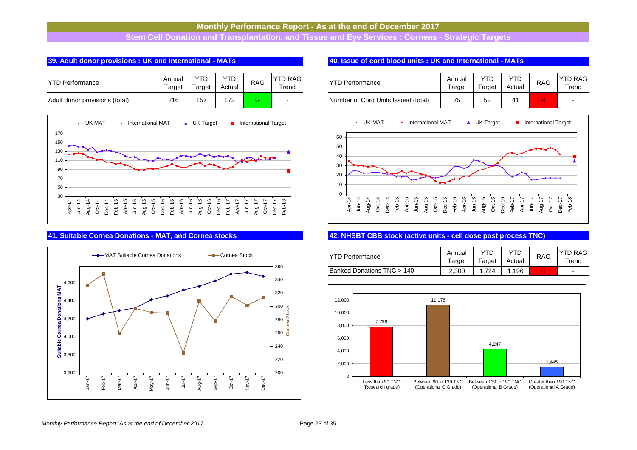**Stem Cell Donation and Transplantation, and Tissue and Eye Services : Corneas - Strategic Targets**

# **39. Adult donor provisions : UK and International - MATs 8 <b>19. ISSUE 12 12 12 13 13 140.** Issue of cord blood units : UK and International - MATs

| <b>IYTD Performance</b>        | Annual<br>Target | Target | YTD<br>Actual | <b>RAG</b> | <b>YTD RAG</b><br>Trend |
|--------------------------------|------------------|--------|---------------|------------|-------------------------|
| Adult donor provisions (total) | 216              | 157    | 173           |            | -                       |





| nnual<br>arget | YTD<br><sup>-</sup> arget | YTD<br>Actual | RAG | <b>YTD RAG</b><br>$\tau$ rend | <b>IYTD Performance</b>             | Annual<br>Target | YTD<br>Target | YTD<br>Actual | <b>RAG</b> | <b>YTD RAG</b><br>Trend |
|----------------|---------------------------|---------------|-----|-------------------------------|-------------------------------------|------------------|---------------|---------------|------------|-------------------------|
| 216            | 157                       | 173           | G   |                               | Number of Cord Units Issued (total) | 75               | 53            |               | R          |                         |



### **41. Suitable Cornea Donations - MAT, and Cornea stocks 42. NHSBT CBB stock (active units - cell dose post process TNC)**

| IYTD Performance                     | Annual<br>Target | Target | YTD<br>Actual | <b>RAG</b> | <b>YTD RAG</b><br>Trend |
|--------------------------------------|------------------|--------|---------------|------------|-------------------------|
| <b>Banked Donations TNC &gt; 140</b> | 2.300            | 1.724  | .196          |            | $\blacksquare$          |



### *Monthly Performance Report: As at the end of December 2017* Page 23 of 35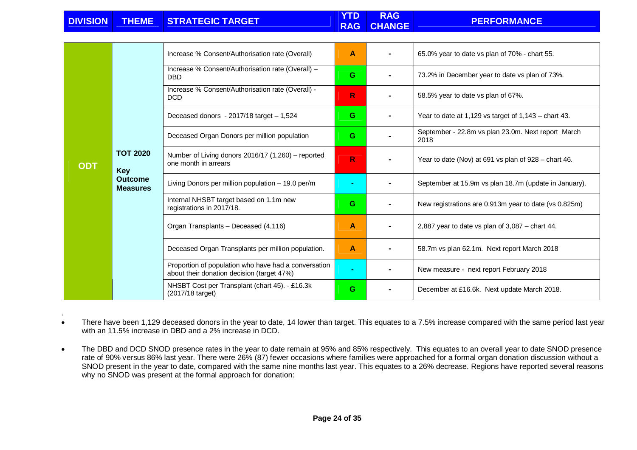|  | DIVISION THEME STRATEGIC TARGET | <b>YTD</b> | <b>RAG</b><br>RAG CHANGE | <b>PERFORMANCE</b> |
|--|---------------------------------|------------|--------------------------|--------------------|
|  |                                 |            |                          |                    |

|            |                                   | Increase % Consent/Authorisation rate (Overall)                                                    | A  | 65.0% year to date vs plan of 70% - chart 55.              |
|------------|-----------------------------------|----------------------------------------------------------------------------------------------------|----|------------------------------------------------------------|
|            |                                   | Increase % Consent/Authorisation rate (Overall) -<br><b>DBD</b>                                    | G. | 73.2% in December year to date vs plan of 73%.             |
|            |                                   | Increase % Consent/Authorisation rate (Overall) -<br><b>DCD</b>                                    | R  | 58.5% year to date vs plan of 67%.                         |
|            |                                   | Deceased donors - $2017/18$ target $-1,524$                                                        | G. | Year to date at 1,129 vs target of $1,143$ – chart 43.     |
|            |                                   | Deceased Organ Donors per million population                                                       | G. | September - 22.8m vs plan 23.0m. Next report March<br>2018 |
| <b>ODT</b> | <b>TOT 2020</b><br><b>Key</b>     | Number of Living donors 2016/17 (1,260) - reported<br>one month in arrears                         | R. | Year to date (Nov) at 691 vs plan of 928 – chart 46.       |
|            | <b>Outcome</b><br><b>Measures</b> | Living Donors per million population - 19.0 per/m                                                  |    | September at 15.9m vs plan 18.7m (update in January).      |
|            |                                   | Internal NHSBT target based on 1.1m new<br>registrations in 2017/18.                               | G  | New registrations are 0.913m year to date (vs 0.825m)      |
|            |                                   | Organ Transplants - Deceased (4,116)                                                               | Α  | 2,887 year to date vs plan of $3,087$ – chart 44.          |
|            |                                   | Deceased Organ Transplants per million population.                                                 | A  | 58.7m vs plan 62.1m. Next report March 2018                |
|            |                                   | Proportion of population who have had a conversation<br>about their donation decision (target 47%) |    | New measure - next report February 2018                    |
|            |                                   | NHSBT Cost per Transplant (chart 45). - £16.3k<br>(2017/18 target)                                 | G. | December at £16.6k. Next update March 2018.                |

• There have been 1,129 deceased donors in the year to date, 14 lower than target. This equates to a 7.5% increase compared with the same period last year with an 11.5% increase in DBD and a 2% increase in DCD.

.

• The DBD and DCD SNOD presence rates in the year to date remain at 95% and 85% respectively. This equates to an overall year to date SNOD presence rate of 90% versus 86% last year. There were 26% (87) fewer occasions where families were approached for a formal organ donation discussion without a SNOD present in the year to date, compared with the same nine months last year. This equates to a 26% decrease. Regions have reported several reasons why no SNOD was present at the formal approach for donation: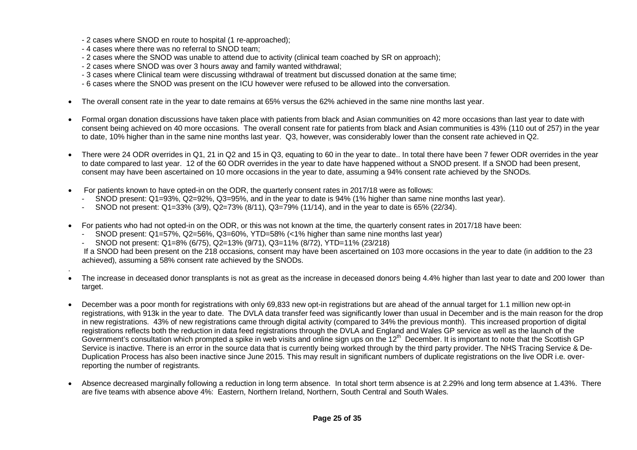- 2 cases where SNOD en route to hospital (1 re-approached);
- 4 cases where there was no referral to SNOD team;

.

- 2 cases where the SNOD was unable to attend due to activity (clinical team coached by SR on approach);
- 2 cases where SNOD was over 3 hours away and family wanted withdrawal;
- 3 cases where Clinical team were discussing withdrawal of treatment but discussed donation at the same time;
- 6 cases where the SNOD was present on the ICU however were refused to be allowed into the conversation.
- The overall consent rate in the year to date remains at 65% versus the 62% achieved in the same nine months last year.
- Formal organ donation discussions have taken place with patients from black and Asian communities on 42 more occasions than last year to date with consent being achieved on 40 more occasions. The overall consent rate for patients from black and Asian communities is 43% (110 out of 257) in the year to date, 10% higher than in the same nine months last year. Q3, however, was considerably lower than the consent rate achieved in Q2.
- There were 24 ODR overrides in Q1, 21 in Q2 and 15 in Q3, equating to 60 in the year to date.. In total there have been 7 fewer ODR overrides in the year to date compared to last year. 12 of the 60 ODR overrides in the year to date have happened without a SNOD present. If a SNOD had been present, consent may have been ascertained on 10 more occasions in the year to date, assuming a 94% consent rate achieved by the SNODs.
- For patients known to have opted-in on the ODR, the quarterly consent rates in 2017/18 were as follows:
	- SNOD present: Q1=93%, Q2=92%, Q3=95%, and in the year to date is 94% (1% higher than same nine months last year).
	- SNOD not present: Q1=33% (3/9), Q2=73% (8/11), Q3=79% (11/14), and in the year to date is 65% (22/34).
- For patients who had not opted-in on the ODR, or this was not known at the time, the quarterly consent rates in 2017/18 have been:
	- SNOD present: Q1=57%, Q2=56%, Q3=60%, YTD=58% (<1% higher than same nine months last year)
	- SNOD not present: Q1=8% (6/75), Q2=13% (9/71), Q3=11% (8/72), YTD=11% (23/218)

 If a SNOD had been present on the 218 occasions, consent may have been ascertained on 103 more occasions in the year to date (in addition to the 23 achieved), assuming a 58% consent rate achieved by the SNODs.

- The increase in deceased donor transplants is not as great as the increase in deceased donors being 4.4% higher than last year to date and 200 lower than target.
- December was a poor month for registrations with only 69,833 new opt-in registrations but are ahead of the annual target for 1.1 million new opt-in registrations, with 913k in the year to date. The DVLA data transfer feed was significantly lower than usual in December and is the main reason for the drop in new registrations. 43% of new registrations came through digital activity (compared to 34% the previous month). This increased proportion of digital registrations reflects both the reduction in data feed registrations through the DVLA and England and Wales GP service as well as the launch of the Government's consultation which prompted a spike in web visits and online sign ups on the  $12<sup>th</sup>$  December. It is important to note that the Scottish GP Service is inactive. There is an error in the source data that is currently being worked through by the third party provider. The NHS Tracing Service & De-Duplication Process has also been inactive since June 2015. This may result in significant numbers of duplicate registrations on the live ODR i.e. overreporting the number of registrants.
- Absence decreased marginally following a reduction in long term absence. In total short term absence is at 2.29% and long term absence at 1.43%. There are five teams with absence above 4%: Eastern, Northern Ireland, Northern, South Central and South Wales.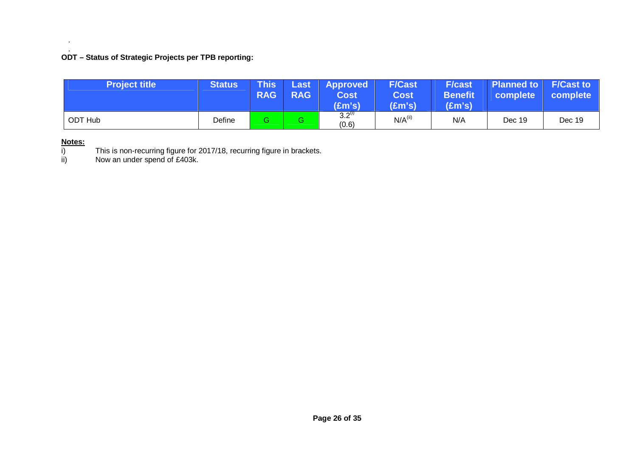# . **ODT – Status of Strategic Projects per TPB reporting:**

| <b>Project title</b> | <b>Status</b> | <b>This</b><br><b>RAG</b> | Last<br><b>RAG</b> | <b>Approved</b><br>Cost<br>$(\text{Em's})$ | <b>F/Cast</b><br><b>Cost</b><br>(£m's) | <b>F/cast</b><br><b>Benefit</b><br>(£m's) | <b>Planned to F/Cast to</b><br>complete | complete |
|----------------------|---------------|---------------------------|--------------------|--------------------------------------------|----------------------------------------|-------------------------------------------|-----------------------------------------|----------|
| <b>ODT Hub</b>       | Define        |                           | G.                 | $3.2^{(1)}$<br>(0.6)                       | $N/A$ <sup>(ii)</sup>                  | N/A                                       | Dec 19                                  | Dec 19   |

# **Notes:**

.

i) This is non-recurring figure for 2017/18, recurring figure in brackets. ii) Now an under spend of £403k.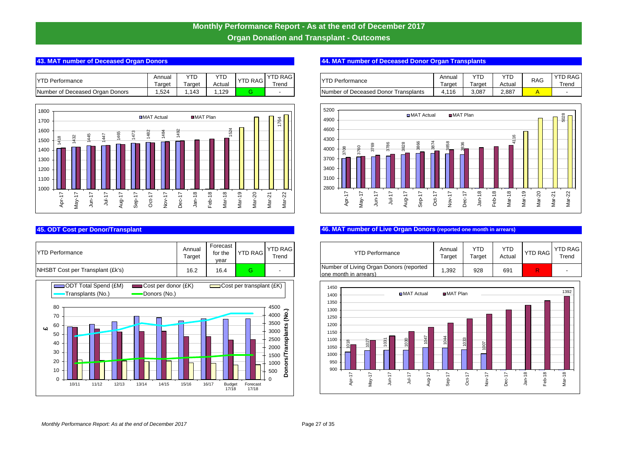# **Monthly Performance Report - As at the end of December 2017 Organ Donation and Transplant - Outcomes**

| <b>YTD P</b><br>'erformance               | Annua            | $\sqrt{2}$        | YTD    | 'TD RAG<br>$\lambda$ | <b>YTD RAG</b> | <b>YTD</b><br>- -<br>Performance               | Annuai | YTC        | YTD    | <b>RAG</b> | <b>YTD</b>                      |
|-------------------------------------------|------------------|-------------------|--------|----------------------|----------------|------------------------------------------------|--------|------------|--------|------------|---------------------------------|
|                                           | Target           | arge <sup>+</sup> | Actual |                      | ⊺rend          |                                                | Γarαet | -<br>Targe | Actual |            | $\overline{\phantom{0}}$<br>Tre |
| Number of L<br>Deceased Organ<br>. Donors | .52 <sub>4</sub> | 143               | .125   |                      |                | Number of I<br>Transplants<br>f Deceased Donor | .116   | $3,08^{-}$ | 2.887  |            |                                 |



| <b>YTD Performance</b>           | Annual<br>Target | Forecast<br>for the<br>vear | <b>YTD RAG</b> | <b>YTD RAG</b><br>Trend |
|----------------------------------|------------------|-----------------------------|----------------|-------------------------|
| NHSBT Cost per Transplant (£k's) | 16.2             | 16.4                        | G              | -                       |



# **43. MAT number of Deceased Organ Donors ODT # 44. MAT number of Deceased Donor Organ Transplants** ODT # 9 **44. MAT number of Deceased Donor Organ Transplants**

| <b>TD RAGI</b> | Performance                                  | Annual | YTD    | VTΓ<br>. D | <b>RAG</b> | <b>YTD RAG</b> |
|----------------|----------------------------------------------|--------|--------|------------|------------|----------------|
| ⊺rend          |                                              | arget  | Гarɑet | Actual     |            | rend           |
|                | <b>INumber of Deceased Donor Transplants</b> | 4.116  | 3.087  | 2.887      |            |                |



# **45. ODT Cost per Donor/Transplant** ODT # 11 **46. MAT number of Live Organ Donors (reported one month in arrears)**

| <b>TD RAG</b><br>Trend | <b>YTD Performance</b>                                            | Annual<br>Target | YTD<br>Target | YTD<br>Actual | <b>YTD RAG</b> | YTD RAG<br>Trend |
|------------------------|-------------------------------------------------------------------|------------------|---------------|---------------|----------------|------------------|
|                        | Number of Living Organ Donors (reported<br>lone month in arrears) | 1.392            | 928           | 691           |                |                  |

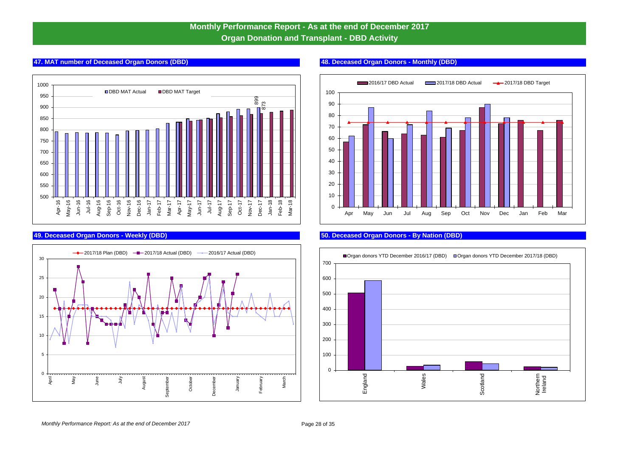# **Monthly Performance Report - As at the end of December 2017 Organ Donation and Transplant - DBD Activity**

# **47. MAT number of Deceased Organ Donors (DBD) 48. Deceased Organ Donors - Monthly (DBD)**







### **49. Deceased Organ Donors - Weekly (DBD) 50. Deceased Organ Donors - By Nation (DBD)**

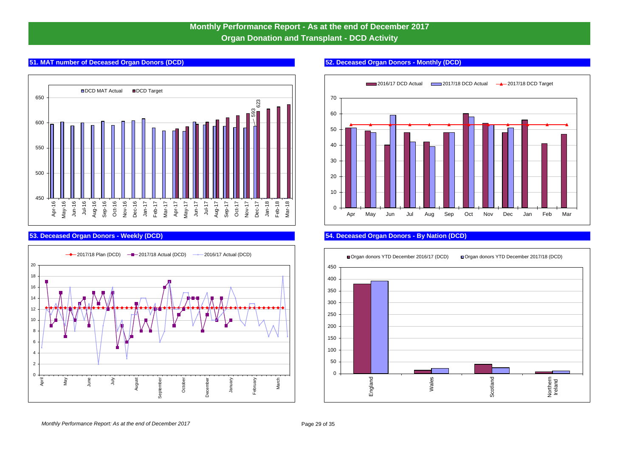# **Monthly Performance Report - As at the end of December 2017 Organ Donation and Transplant - DCD Activity**

# **51. MAT number of Deceased Organ Donors (DCD) 52. Deceased Organ Donors - Monthly (DCD)**







# **53. Deceased Organ Donors - Weekly (DCD) 54. Deceased Organ Donors - By Nation (DCD)**

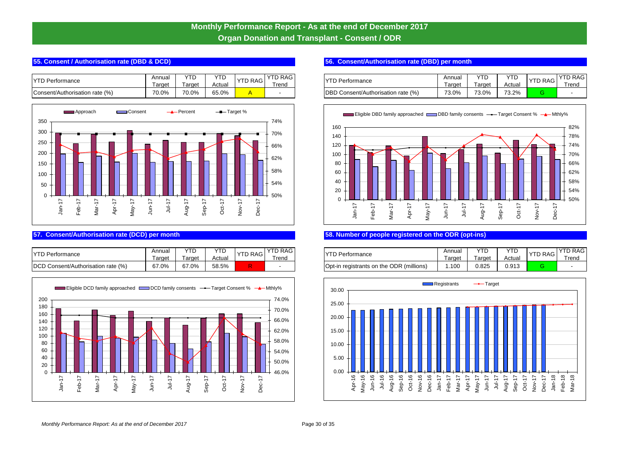# **Monthly Performance Report - As at the end of December 2017 Organ Donation and Transplant - Consent / ODR**

| $\sqrt{2}$<br>Performance      | Annua.<br>l arge: | $\sqrt{2}$<br>שו י<br>arget | YTD<br>Actual | TD RAG | ≀ RAG<br>rend | $VTP =$<br>rformance                         | Annual<br>I arget | $\sqrt{1}$<br>arget | <b>VTP</b><br>- I L'<br>Actual | VTP<br>I DI RAGI | $\sqrt{10}$<br>l re |
|--------------------------------|-------------------|-----------------------------|---------------|--------|---------------|----------------------------------------------|-------------------|---------------------|--------------------------------|------------------|---------------------|
| Consent/Authorisation rate (%) | 70.0%             | 70.0%                       | 65.0%         |        |               | <b>DBD</b><br>Consent/Authorisation rate (%) | 73.0%             | 73.0%               | 70.00<br>0.67                  |                  |                     |



| $\sqrt{2}$<br>Performance                      | Annuai<br>l arge: | $\sqrt{2}$<br>۱۲.<br>arge | YTD<br>Actual | D RAG '        | D RAG<br>rend | NTDD<br>Performance                      | Annual<br>large. | ver<br>arget | YTC<br>Actual | V <sub>TD</sub><br>את ש<br>∼ | $\sqrt{1}$<br>. .<br>l re |
|------------------------------------------------|-------------------|---------------------------|---------------|----------------|---------------|------------------------------------------|------------------|--------------|---------------|------------------------------|---------------------------|
| <b>DCD C</b><br>Consent/Authorisation rate (%) | 67.0%             | 67.0%                     | 58.5%         | $\sim$<br>n Sa |               | Opt-in registrants on the ODR (millions) | .100             | 0.825        | 0.913         |                              |                           |



### **55. Consent / Authorisation rate (DBD & DCD)** ODT # 1 **1 <b>56. Consent/Authorisation rate (DBD)** per month

| "D RAG<br>Trend | <b>YTD Performance</b>             | Annual<br>Farget | ⊺arɑet | ш<br>Actual | <b>YTD RAG</b> | <b>YTD RAG</b><br>rend |
|-----------------|------------------------------------|------------------|--------|-------------|----------------|------------------------|
|                 | DBD Consent/Authorisation rate (%) | 73.0%            | 73.0%  | 73.2%       |                | -                      |



# **57. Consent/Authorisation rate (DCD) per month ODT # 3 58. Number of people registered on the ODR (opt-ins)**

| <b>D RAG</b><br>rend | Performance ں                            | Annual<br><b>arget</b> | Γarαet | YT D<br>Actual | <b>YTD RAG</b> | YTD RAG I<br>rend |
|----------------------|------------------------------------------|------------------------|--------|----------------|----------------|-------------------|
|                      | Opt-in registrants on the ODR (millions) | 1.100                  | 0.825  | 0.913          |                | -                 |

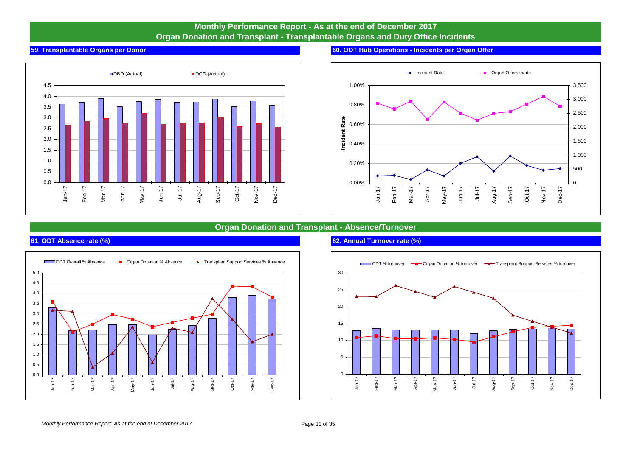# **Monthly Performance Report - As at the end of December 2017 Organ Donation and Transplant - Transplantable Organs and Duty Office Incidents**



### **59. Transplantable Organs per Donor 60. ODT Hub Operations - Incidents per Organ Offer**



# **Organ Donation and Transplant - Absence/Turnover**



## **61. ODT Absence rate (%) 62. Annual Turnover rate (%)**

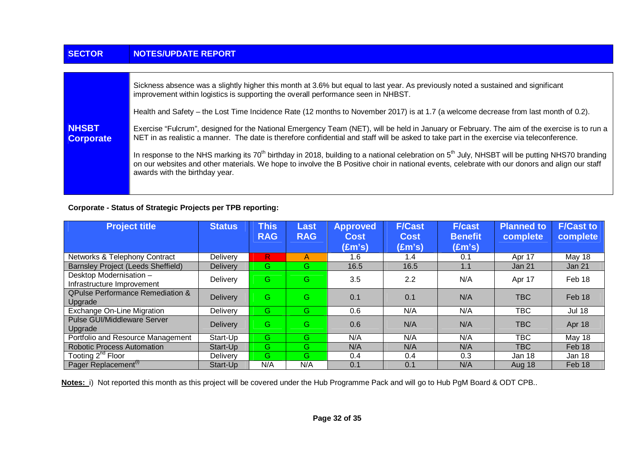| <b>SECTOR</b>                    | <b>NOTES/UPDATE REPORT</b>                                                                                                                                                                                                                                                                                                                                 |
|----------------------------------|------------------------------------------------------------------------------------------------------------------------------------------------------------------------------------------------------------------------------------------------------------------------------------------------------------------------------------------------------------|
|                                  |                                                                                                                                                                                                                                                                                                                                                            |
|                                  | Sickness absence was a slightly higher this month at 3.6% but equal to last year. As previously noted a sustained and significant<br>improvement within logistics is supporting the overall performance seen in NHBST.                                                                                                                                     |
|                                  | Health and Safety – the Lost Time Incidence Rate (12 months to November 2017) is at 1.7 (a welcome decrease from last month of 0.2).                                                                                                                                                                                                                       |
| <b>NHSBT</b><br><b>Corporate</b> | Exercise "Fulcrum", designed for the National Emergency Team (NET), will be held in January or February. The aim of the exercise is to run a<br>NET in as realistic a manner. The date is therefore confidential and staff will be asked to take part in the exercise via teleconference.                                                                  |
|                                  | In response to the NHS marking its 70 <sup>th</sup> birthday in 2018, building to a national celebration on 5 <sup>th</sup> July, NHSBT will be putting NHS70 branding<br>on our websites and other materials. We hope to involve the B Positive choir in national events, celebrate with our donors and align our staff<br>awards with the birthday year. |
|                                  |                                                                                                                                                                                                                                                                                                                                                            |

# **Corporate - Status of Strategic Projects per TPB reporting:**

| <b>Project title</b>                                   | <b>Status</b>   | <b>This</b><br><b>RAG</b> | Last<br><b>RAG</b> | <b>Approved</b><br><b>Cost</b> | <b>F/Cast</b><br><b>Cost</b> | <b>F/cast</b><br><b>Benefit</b> | <b>Planned to</b><br>complete | <b>F/Cast to</b><br>complete |
|--------------------------------------------------------|-----------------|---------------------------|--------------------|--------------------------------|------------------------------|---------------------------------|-------------------------------|------------------------------|
|                                                        |                 |                           |                    | (£m's)                         | $(\text{Em's})$              | $(\text{Em's})$                 |                               |                              |
| Networks & Telephony Contract                          | Delivery        | R                         | A                  | 1.6                            | 1.4                          | 0.1                             | Apr 17                        | May 18                       |
| <b>Barnsley Project (Leeds Sheffield)</b>              | <b>Delivery</b> | G                         | G.                 | 16.5                           | 16.5                         | 1.1                             | Jan 21                        | Jan 21                       |
| Desktop Modernisation -<br>Infrastructure Improvement  | Delivery        | G                         | G                  | 3.5                            | 2.2                          | N/A                             | Apr 17                        | Feb 18                       |
| <b>QPulse Performance Remediation &amp;</b><br>Upgrade | Delivery        | G                         | G                  | 0.1                            | 0.1                          | N/A                             | TBC.                          | Feb 18                       |
| Exchange On-Line Migration                             | Delivery        | G                         | G                  | 0.6                            | N/A                          | N/A                             | <b>TBC</b>                    | <b>Jul 18</b>                |
| <b>Pulse GUI/Middleware Server</b><br>Upgrade          | <b>Delivery</b> | G                         | G                  | 0.6                            | N/A                          | N/A                             | TBC.                          | Apr 18                       |
| Portfolio and Resource Management                      | Start-Up        | G                         | G                  | N/A                            | N/A                          | N/A                             | <b>TBC</b>                    | May 18                       |
| <b>Robotic Process Automation</b>                      | Start-Up        | G                         | G.                 | N/A                            | N/A                          | N/A                             | TBC                           | Feb 18                       |
| Tooting 2 <sup>nd</sup> Floor                          | <b>Delivery</b> | G                         | G                  | 0.4                            | 0.4                          | 0.3                             | Jan 18                        | Jan 18                       |
| Pager Replacement <sup>(i)</sup>                       | Start-Up        | N/A                       | N/A                | 0.1                            | 0.1                          | N/A                             | Aug 18                        | Feb 18                       |

**Notes:** i) Not reported this month as this project will be covered under the Hub Programme Pack and will go to Hub PgM Board & ODT CPB..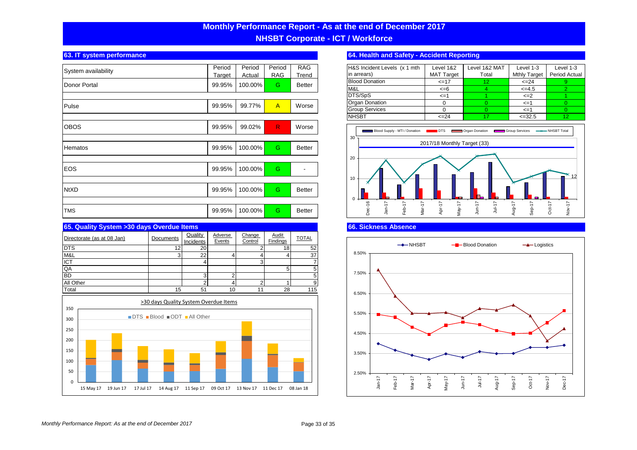# **Monthly Performance Report - As at the end of December 2017 NHSBT Corporate - ICT / Workforce**

| System availability | Period | Period  | Period         | <b>RAG</b>    | H&S Incident Le                           |
|---------------------|--------|---------|----------------|---------------|-------------------------------------------|
|                     | Target | Actual  | <b>RAG</b>     | Trend         | in arrears)                               |
| Donor Portal        | 99.95% | 100.00% | G              | <b>Better</b> | <b>Blood Donation</b>                     |
|                     |        |         |                |               | M&L                                       |
|                     |        |         |                |               | DTS/SpS                                   |
| Pulse               | 99.95% | 99.77%  | $\overline{A}$ | Worse         | Organ Donation                            |
|                     |        |         |                |               | <b>Group Services</b>                     |
|                     |        |         |                |               | <b>NHSBT</b>                              |
| <b>OBOS</b>         | 99.95% | 99.02%  | R              | Worse         |                                           |
|                     |        |         |                |               | $\blacksquare$ Blood S<br>30 <sup>′</sup> |
|                     |        |         |                |               |                                           |
| Hematos             | 99.95% | 100.00% | G.             | Better        |                                           |
|                     |        |         |                |               | 20                                        |
|                     |        |         |                |               |                                           |
| <b>EOS</b>          | 99.95% | 100.00% | G              |               |                                           |
|                     |        |         |                |               | 10                                        |
| <b>NtXD</b>         | 99.95% | 100.00% | G.             | <b>Better</b> |                                           |
|                     |        |         |                |               |                                           |
|                     |        |         |                |               | $\Omega$                                  |
| <b>TMS</b>          | 99.95% | 100.00% | G              | <b>Better</b> | Dec-16                                    |
|                     |        |         |                |               |                                           |

| 65. Quality System > 30 days Overdue Items |                 |                             |                   |                   |                   |              |
|--------------------------------------------|-----------------|-----------------------------|-------------------|-------------------|-------------------|--------------|
| Directorate (as at 08 Jan)                 | Documents       | Quality<br><b>Incidents</b> | Adverse<br>Events | Change<br>Control | Audit<br>Findings | <b>TOTAL</b> |
| <b>DTS</b>                                 | 12 <sub>1</sub> | 20                          |                   |                   | 18 <sub>1</sub>   | 52           |
| M&L                                        |                 | 22                          |                   |                   |                   | 37           |
| <b>ICT</b>                                 |                 |                             |                   |                   |                   |              |
| QA                                         |                 |                             |                   |                   |                   | 5            |
| BD                                         |                 |                             |                   |                   |                   | 5            |
| All Other                                  |                 |                             |                   |                   |                   | 9            |
| Total                                      | 15              |                             |                   |                   | 28                | 115          |



# **63. IT system performance 64. Health and Safety - Accident Reporting**

| H&S Incident Levels (x 1 mth | Level 1&2         | Level 1&2 MAT | Level $1-3$         | Level 1-3     |
|------------------------------|-------------------|---------------|---------------------|---------------|
| in arrears)                  | <b>MAT Target</b> | Total         | <b>Mthly Target</b> | Period Actual |
| <b>Blood Donation</b>        | $\leq$ 17         | 12            | $\leq$ 24           |               |
| M&L                          | $\leq -6$         |               | $<=4.5$             |               |
| DTS/SpS                      | $\leq$ =1         |               | $\leq$ $=$ $2$      |               |
| Organ Donation               |                   |               | $\leq$ =1           |               |
| <b>Group Services</b>        |                   |               | $\leq$ =1           |               |
| <b>NHSBT</b>                 | $\leq$ 24         |               | $\leq$ = 32.5       | 12            |



# **66. Sickness Absence**

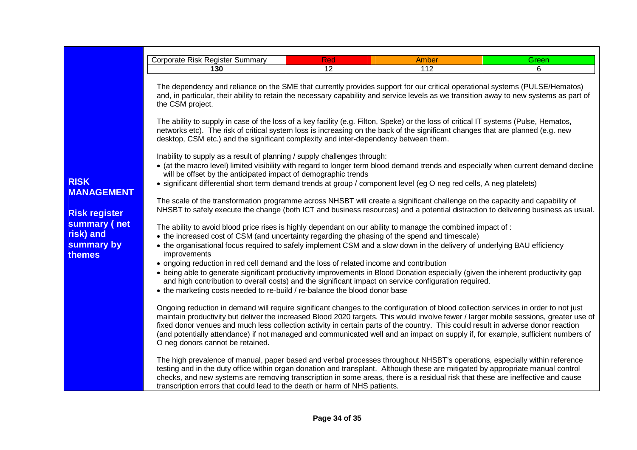|                                         | Corporate Risk Register Summary                                                                                                                                                                                                                                                                                                                                                                                                                                                                                                                                                           | Red | <b>Amber</b> | Green |  |  |  |
|-----------------------------------------|-------------------------------------------------------------------------------------------------------------------------------------------------------------------------------------------------------------------------------------------------------------------------------------------------------------------------------------------------------------------------------------------------------------------------------------------------------------------------------------------------------------------------------------------------------------------------------------------|-----|--------------|-------|--|--|--|
|                                         | 130                                                                                                                                                                                                                                                                                                                                                                                                                                                                                                                                                                                       | 12  | 112          | 6     |  |  |  |
|                                         | The dependency and reliance on the SME that currently provides support for our critical operational systems (PULSE/Hematos)<br>and, in particular, their ability to retain the necessary capability and service levels as we transition away to new systems as part of<br>the CSM project.                                                                                                                                                                                                                                                                                                |     |              |       |  |  |  |
|                                         | The ability to supply in case of the loss of a key facility (e.g. Filton, Speke) or the loss of critical IT systems (Pulse, Hematos,<br>networks etc). The risk of critical system loss is increasing on the back of the significant changes that are planned (e.g. new<br>desktop, CSM etc.) and the significant complexity and inter-dependency between them.                                                                                                                                                                                                                           |     |              |       |  |  |  |
|                                         | Inability to supply as a result of planning / supply challenges through:<br>• (at the macro level) limited visibility with regard to longer term blood demand trends and especially when current demand decline                                                                                                                                                                                                                                                                                                                                                                           |     |              |       |  |  |  |
| <b>RISK</b><br><b>MANAGEMENT</b>        | will be offset by the anticipated impact of demographic trends<br>• significant differential short term demand trends at group / component level (eg O neg red cells, A neg platelets)                                                                                                                                                                                                                                                                                                                                                                                                    |     |              |       |  |  |  |
| <b>Risk register</b>                    | The scale of the transformation programme across NHSBT will create a significant challenge on the capacity and capability of<br>NHSBT to safely execute the change (both ICT and business resources) and a potential distraction to delivering business as usual.                                                                                                                                                                                                                                                                                                                         |     |              |       |  |  |  |
| summary (net<br>risk) and<br>summary by | The ability to avoid blood price rises is highly dependant on our ability to manage the combined impact of :<br>• the increased cost of CSM (and uncertainty regarding the phasing of the spend and timescale)<br>• the organisational focus required to safely implement CSM and a slow down in the delivery of underlying BAU efficiency                                                                                                                                                                                                                                                |     |              |       |  |  |  |
| <b>themes</b>                           | improvements<br>• ongoing reduction in red cell demand and the loss of related income and contribution<br>• being able to generate significant productivity improvements in Blood Donation especially (given the inherent productivity gap<br>and high contribution to overall costs) and the significant impact on service configuration required.                                                                                                                                                                                                                                       |     |              |       |  |  |  |
|                                         | • the marketing costs needed to re-build / re-balance the blood donor base                                                                                                                                                                                                                                                                                                                                                                                                                                                                                                                |     |              |       |  |  |  |
|                                         | Ongoing reduction in demand will require significant changes to the configuration of blood collection services in order to not just<br>maintain productivity but deliver the increased Blood 2020 targets. This would involve fewer / larger mobile sessions, greater use of<br>fixed donor venues and much less collection activity in certain parts of the country. This could result in adverse donor reaction<br>(and potentially attendance) if not managed and communicated well and an impact on supply if, for example, sufficient numbers of<br>O neg donors cannot be retained. |     |              |       |  |  |  |
|                                         | The high prevalence of manual, paper based and verbal processes throughout NHSBT's operations, especially within reference<br>testing and in the duty office within organ donation and transplant. Although these are mitigated by appropriate manual control<br>checks, and new systems are removing transcription in some areas, there is a residual risk that these are ineffective and cause<br>transcription errors that could lead to the death or harm of NHS patients.                                                                                                            |     |              |       |  |  |  |

# **Page 34 of 35**